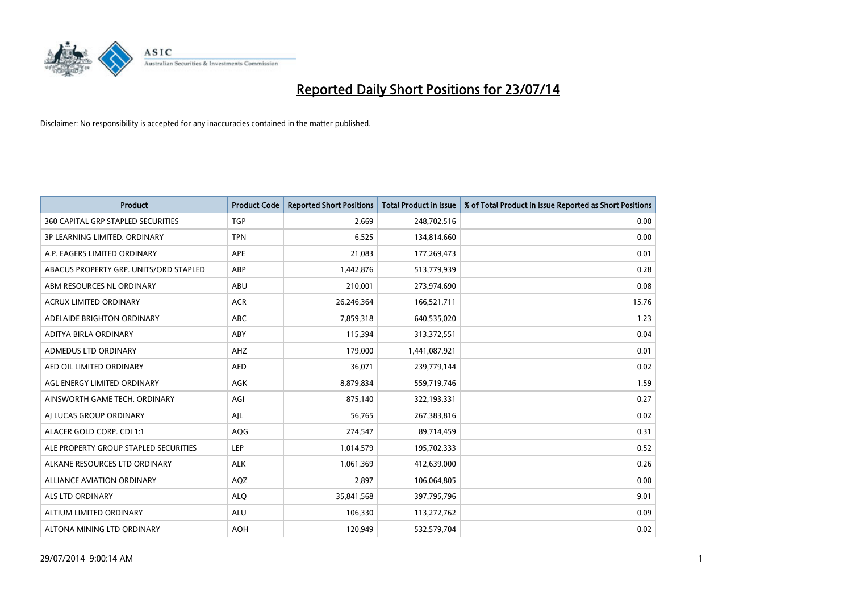

| <b>Product</b>                            | <b>Product Code</b> | <b>Reported Short Positions</b> | <b>Total Product in Issue</b> | % of Total Product in Issue Reported as Short Positions |
|-------------------------------------------|---------------------|---------------------------------|-------------------------------|---------------------------------------------------------|
| <b>360 CAPITAL GRP STAPLED SECURITIES</b> | <b>TGP</b>          | 2,669                           | 248,702,516                   | 0.00                                                    |
| 3P LEARNING LIMITED. ORDINARY             | <b>TPN</b>          | 6,525                           | 134,814,660                   | 0.00                                                    |
| A.P. EAGERS LIMITED ORDINARY              | APE                 | 21,083                          | 177,269,473                   | 0.01                                                    |
| ABACUS PROPERTY GRP. UNITS/ORD STAPLED    | ABP                 | 1,442,876                       | 513,779,939                   | 0.28                                                    |
| ABM RESOURCES NL ORDINARY                 | ABU                 | 210,001                         | 273,974,690                   | 0.08                                                    |
| <b>ACRUX LIMITED ORDINARY</b>             | <b>ACR</b>          | 26,246,364                      | 166,521,711                   | 15.76                                                   |
| ADELAIDE BRIGHTON ORDINARY                | <b>ABC</b>          | 7,859,318                       | 640,535,020                   | 1.23                                                    |
| ADITYA BIRLA ORDINARY                     | ABY                 | 115,394                         | 313,372,551                   | 0.04                                                    |
| ADMEDUS LTD ORDINARY                      | AHZ                 | 179,000                         | 1,441,087,921                 | 0.01                                                    |
| AED OIL LIMITED ORDINARY                  | <b>AED</b>          | 36,071                          | 239,779,144                   | 0.02                                                    |
| AGL ENERGY LIMITED ORDINARY               | AGK                 | 8,879,834                       | 559,719,746                   | 1.59                                                    |
| AINSWORTH GAME TECH. ORDINARY             | AGI                 | 875,140                         | 322,193,331                   | 0.27                                                    |
| AI LUCAS GROUP ORDINARY                   | AJL                 | 56,765                          | 267,383,816                   | 0.02                                                    |
| ALACER GOLD CORP. CDI 1:1                 | AQG                 | 274,547                         | 89,714,459                    | 0.31                                                    |
| ALE PROPERTY GROUP STAPLED SECURITIES     | <b>LEP</b>          | 1,014,579                       | 195,702,333                   | 0.52                                                    |
| ALKANE RESOURCES LTD ORDINARY             | <b>ALK</b>          | 1,061,369                       | 412,639,000                   | 0.26                                                    |
| ALLIANCE AVIATION ORDINARY                | AQZ                 | 2,897                           | 106,064,805                   | 0.00                                                    |
| <b>ALS LTD ORDINARY</b>                   | <b>ALQ</b>          | 35,841,568                      | 397,795,796                   | 9.01                                                    |
| ALTIUM LIMITED ORDINARY                   | <b>ALU</b>          | 106,330                         | 113,272,762                   | 0.09                                                    |
| ALTONA MINING LTD ORDINARY                | <b>AOH</b>          | 120,949                         | 532,579,704                   | 0.02                                                    |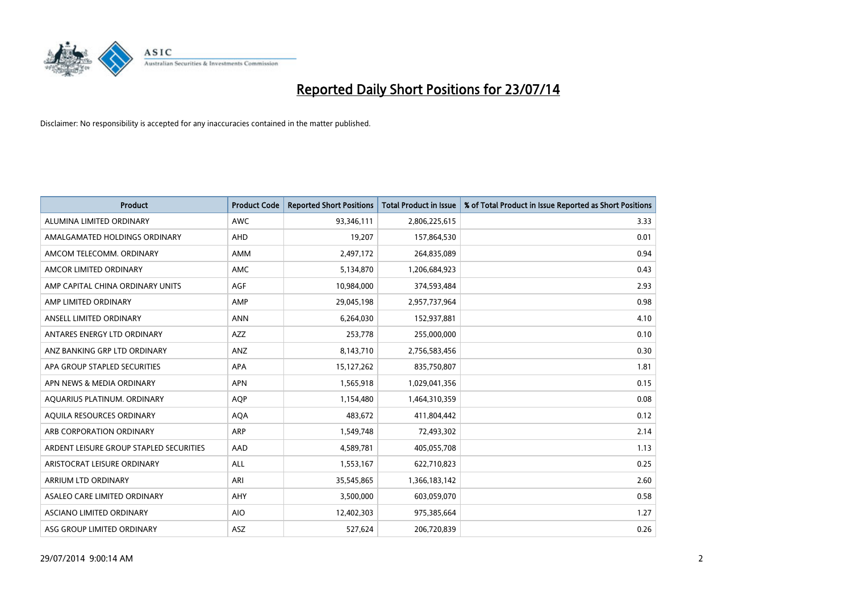

| <b>Product</b>                          | <b>Product Code</b> | <b>Reported Short Positions</b> | <b>Total Product in Issue</b> | % of Total Product in Issue Reported as Short Positions |
|-----------------------------------------|---------------------|---------------------------------|-------------------------------|---------------------------------------------------------|
| ALUMINA LIMITED ORDINARY                | <b>AWC</b>          | 93,346,111                      | 2,806,225,615                 | 3.33                                                    |
| AMALGAMATED HOLDINGS ORDINARY           | AHD                 | 19,207                          | 157,864,530                   | 0.01                                                    |
| AMCOM TELECOMM. ORDINARY                | AMM                 | 2,497,172                       | 264,835,089                   | 0.94                                                    |
| AMCOR LIMITED ORDINARY                  | AMC                 | 5,134,870                       | 1,206,684,923                 | 0.43                                                    |
| AMP CAPITAL CHINA ORDINARY UNITS        | AGF                 | 10,984,000                      | 374,593,484                   | 2.93                                                    |
| AMP LIMITED ORDINARY                    | AMP                 | 29,045,198                      | 2,957,737,964                 | 0.98                                                    |
| ANSELL LIMITED ORDINARY                 | <b>ANN</b>          | 6,264,030                       | 152,937,881                   | 4.10                                                    |
| ANTARES ENERGY LTD ORDINARY             | AZZ                 | 253,778                         | 255,000,000                   | 0.10                                                    |
| ANZ BANKING GRP LTD ORDINARY            | ANZ                 | 8,143,710                       | 2,756,583,456                 | 0.30                                                    |
| APA GROUP STAPLED SECURITIES            | APA                 | 15,127,262                      | 835,750,807                   | 1.81                                                    |
| APN NEWS & MEDIA ORDINARY               | <b>APN</b>          | 1,565,918                       | 1,029,041,356                 | 0.15                                                    |
| AQUARIUS PLATINUM. ORDINARY             | AQP                 | 1,154,480                       | 1,464,310,359                 | 0.08                                                    |
| AQUILA RESOURCES ORDINARY               | <b>AQA</b>          | 483,672                         | 411,804,442                   | 0.12                                                    |
| ARB CORPORATION ORDINARY                | <b>ARP</b>          | 1,549,748                       | 72,493,302                    | 2.14                                                    |
| ARDENT LEISURE GROUP STAPLED SECURITIES | AAD                 | 4,589,781                       | 405,055,708                   | 1.13                                                    |
| ARISTOCRAT LEISURE ORDINARY             | ALL                 | 1,553,167                       | 622,710,823                   | 0.25                                                    |
| ARRIUM LTD ORDINARY                     | ARI                 | 35,545,865                      | 1,366,183,142                 | 2.60                                                    |
| ASALEO CARE LIMITED ORDINARY            | AHY                 | 3,500,000                       | 603,059,070                   | 0.58                                                    |
| ASCIANO LIMITED ORDINARY                | <b>AIO</b>          | 12,402,303                      | 975,385,664                   | 1.27                                                    |
| ASG GROUP LIMITED ORDINARY              | ASZ                 | 527,624                         | 206,720,839                   | 0.26                                                    |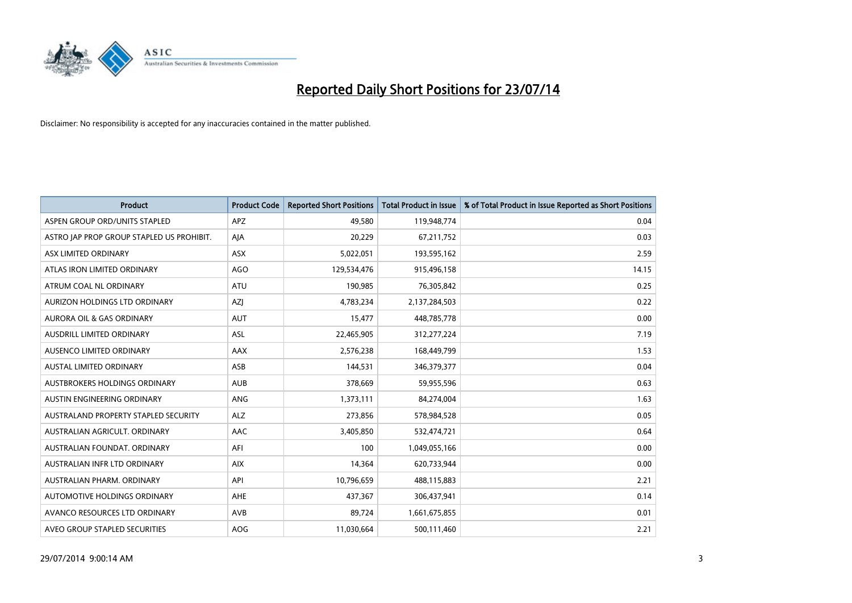

| <b>Product</b>                            | <b>Product Code</b> | <b>Reported Short Positions</b> | <b>Total Product in Issue</b> | % of Total Product in Issue Reported as Short Positions |
|-------------------------------------------|---------------------|---------------------------------|-------------------------------|---------------------------------------------------------|
| ASPEN GROUP ORD/UNITS STAPLED             | <b>APZ</b>          | 49,580                          | 119,948,774                   | 0.04                                                    |
| ASTRO JAP PROP GROUP STAPLED US PROHIBIT. | AJA                 | 20,229                          | 67,211,752                    | 0.03                                                    |
| ASX LIMITED ORDINARY                      | <b>ASX</b>          | 5,022,051                       | 193,595,162                   | 2.59                                                    |
| ATLAS IRON LIMITED ORDINARY               | AGO                 | 129,534,476                     | 915,496,158                   | 14.15                                                   |
| ATRUM COAL NL ORDINARY                    | ATU                 | 190,985                         | 76,305,842                    | 0.25                                                    |
| AURIZON HOLDINGS LTD ORDINARY             | AZJ                 | 4,783,234                       | 2,137,284,503                 | 0.22                                                    |
| <b>AURORA OIL &amp; GAS ORDINARY</b>      | <b>AUT</b>          | 15,477                          | 448,785,778                   | 0.00                                                    |
| AUSDRILL LIMITED ORDINARY                 | ASL                 | 22,465,905                      | 312,277,224                   | 7.19                                                    |
| AUSENCO LIMITED ORDINARY                  | AAX                 | 2,576,238                       | 168,449,799                   | 1.53                                                    |
| <b>AUSTAL LIMITED ORDINARY</b>            | ASB                 | 144,531                         | 346,379,377                   | 0.04                                                    |
| AUSTBROKERS HOLDINGS ORDINARY             | <b>AUB</b>          | 378,669                         | 59,955,596                    | 0.63                                                    |
| AUSTIN ENGINEERING ORDINARY               | ANG                 | 1,373,111                       | 84,274,004                    | 1.63                                                    |
| AUSTRALAND PROPERTY STAPLED SECURITY      | <b>ALZ</b>          | 273,856                         | 578,984,528                   | 0.05                                                    |
| AUSTRALIAN AGRICULT, ORDINARY             | AAC                 | 3,405,850                       | 532,474,721                   | 0.64                                                    |
| AUSTRALIAN FOUNDAT, ORDINARY              | AFI                 | 100                             | 1,049,055,166                 | 0.00                                                    |
| AUSTRALIAN INFR LTD ORDINARY              | <b>AIX</b>          | 14,364                          | 620,733,944                   | 0.00                                                    |
| AUSTRALIAN PHARM. ORDINARY                | API                 | 10,796,659                      | 488,115,883                   | 2.21                                                    |
| AUTOMOTIVE HOLDINGS ORDINARY              | AHE                 | 437,367                         | 306,437,941                   | 0.14                                                    |
| AVANCO RESOURCES LTD ORDINARY             | AVB                 | 89,724                          | 1,661,675,855                 | 0.01                                                    |
| AVEO GROUP STAPLED SECURITIES             | AOG                 | 11,030,664                      | 500,111,460                   | 2.21                                                    |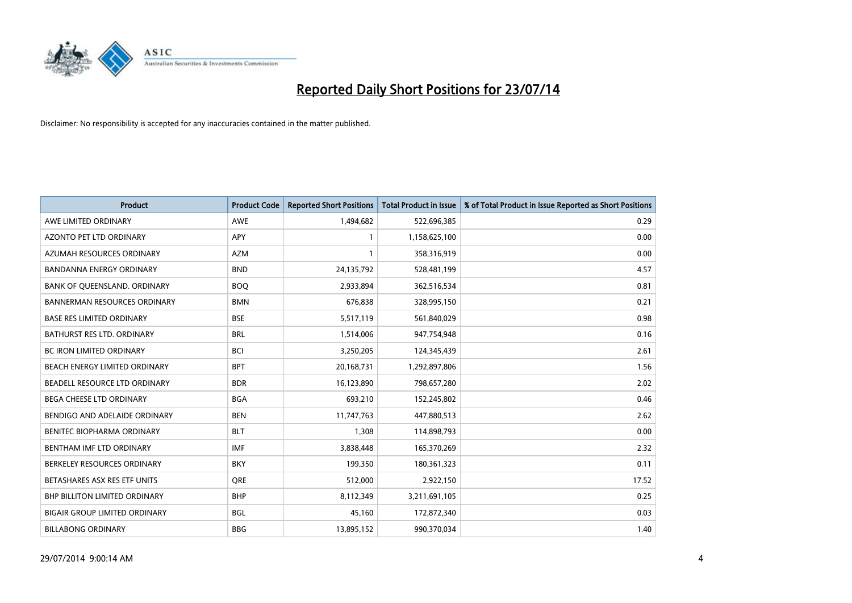

| <b>Product</b>                       | <b>Product Code</b> | <b>Reported Short Positions</b> | <b>Total Product in Issue</b> | % of Total Product in Issue Reported as Short Positions |
|--------------------------------------|---------------------|---------------------------------|-------------------------------|---------------------------------------------------------|
| AWE LIMITED ORDINARY                 | <b>AWE</b>          | 1,494,682                       | 522,696,385                   | 0.29                                                    |
| AZONTO PET LTD ORDINARY              | APY                 | $\mathbf{1}$                    | 1,158,625,100                 | 0.00                                                    |
| AZUMAH RESOURCES ORDINARY            | <b>AZM</b>          | $\mathbf{1}$                    | 358,316,919                   | 0.00                                                    |
| BANDANNA ENERGY ORDINARY             | <b>BND</b>          | 24,135,792                      | 528,481,199                   | 4.57                                                    |
| BANK OF QUEENSLAND. ORDINARY         | <b>BOQ</b>          | 2,933,894                       | 362,516,534                   | 0.81                                                    |
| <b>BANNERMAN RESOURCES ORDINARY</b>  | <b>BMN</b>          | 676,838                         | 328,995,150                   | 0.21                                                    |
| <b>BASE RES LIMITED ORDINARY</b>     | <b>BSE</b>          | 5,517,119                       | 561,840,029                   | 0.98                                                    |
| BATHURST RES LTD. ORDINARY           | <b>BRL</b>          | 1,514,006                       | 947,754,948                   | 0.16                                                    |
| <b>BC IRON LIMITED ORDINARY</b>      | <b>BCI</b>          | 3,250,205                       | 124,345,439                   | 2.61                                                    |
| BEACH ENERGY LIMITED ORDINARY        | <b>BPT</b>          | 20,168,731                      | 1,292,897,806                 | 1.56                                                    |
| BEADELL RESOURCE LTD ORDINARY        | <b>BDR</b>          | 16,123,890                      | 798,657,280                   | 2.02                                                    |
| <b>BEGA CHEESE LTD ORDINARY</b>      | <b>BGA</b>          | 693,210                         | 152,245,802                   | 0.46                                                    |
| BENDIGO AND ADELAIDE ORDINARY        | <b>BEN</b>          | 11,747,763                      | 447,880,513                   | 2.62                                                    |
| BENITEC BIOPHARMA ORDINARY           | <b>BLT</b>          | 1,308                           | 114,898,793                   | 0.00                                                    |
| BENTHAM IMF LTD ORDINARY             | <b>IMF</b>          | 3,838,448                       | 165,370,269                   | 2.32                                                    |
| BERKELEY RESOURCES ORDINARY          | <b>BKY</b>          | 199,350                         | 180,361,323                   | 0.11                                                    |
| BETASHARES ASX RES ETF UNITS         | <b>ORE</b>          | 512,000                         | 2,922,150                     | 17.52                                                   |
| <b>BHP BILLITON LIMITED ORDINARY</b> | <b>BHP</b>          | 8,112,349                       | 3,211,691,105                 | 0.25                                                    |
| <b>BIGAIR GROUP LIMITED ORDINARY</b> | <b>BGL</b>          | 45,160                          | 172,872,340                   | 0.03                                                    |
| <b>BILLABONG ORDINARY</b>            | <b>BBG</b>          | 13,895,152                      | 990,370,034                   | 1.40                                                    |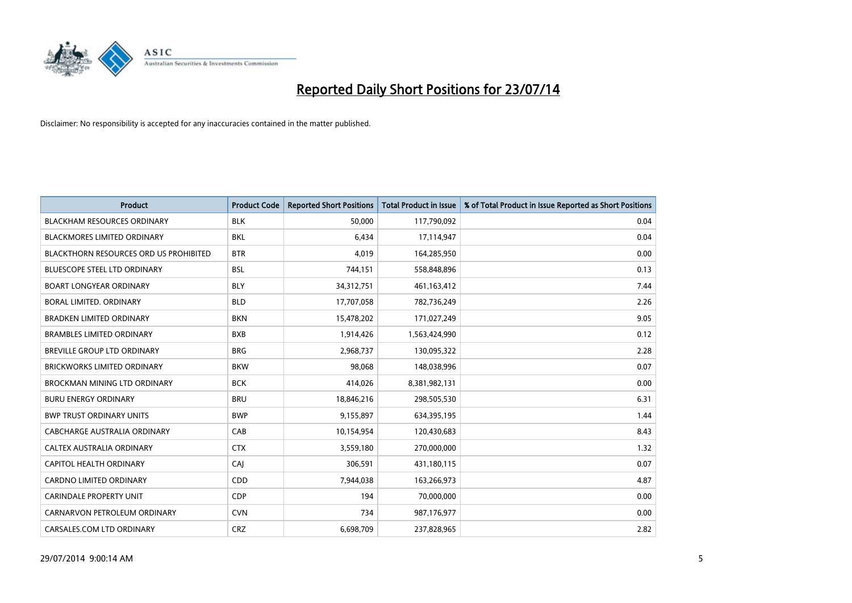

| <b>Product</b>                                | <b>Product Code</b> | <b>Reported Short Positions</b> | <b>Total Product in Issue</b> | % of Total Product in Issue Reported as Short Positions |
|-----------------------------------------------|---------------------|---------------------------------|-------------------------------|---------------------------------------------------------|
| <b>BLACKHAM RESOURCES ORDINARY</b>            | <b>BLK</b>          | 50,000                          | 117,790,092                   | 0.04                                                    |
| <b>BLACKMORES LIMITED ORDINARY</b>            | <b>BKL</b>          | 6,434                           | 17,114,947                    | 0.04                                                    |
| <b>BLACKTHORN RESOURCES ORD US PROHIBITED</b> | <b>BTR</b>          | 4,019                           | 164,285,950                   | 0.00                                                    |
| BLUESCOPE STEEL LTD ORDINARY                  | <b>BSL</b>          | 744,151                         | 558,848,896                   | 0.13                                                    |
| <b>BOART LONGYEAR ORDINARY</b>                | <b>BLY</b>          | 34,312,751                      | 461,163,412                   | 7.44                                                    |
| BORAL LIMITED, ORDINARY                       | <b>BLD</b>          | 17,707,058                      | 782,736,249                   | 2.26                                                    |
| <b>BRADKEN LIMITED ORDINARY</b>               | <b>BKN</b>          | 15,478,202                      | 171,027,249                   | 9.05                                                    |
| <b>BRAMBLES LIMITED ORDINARY</b>              | <b>BXB</b>          | 1,914,426                       | 1,563,424,990                 | 0.12                                                    |
| BREVILLE GROUP LTD ORDINARY                   | <b>BRG</b>          | 2,968,737                       | 130,095,322                   | 2.28                                                    |
| <b>BRICKWORKS LIMITED ORDINARY</b>            | <b>BKW</b>          | 98,068                          | 148,038,996                   | 0.07                                                    |
| <b>BROCKMAN MINING LTD ORDINARY</b>           | <b>BCK</b>          | 414,026                         | 8,381,982,131                 | 0.00                                                    |
| <b>BURU ENERGY ORDINARY</b>                   | <b>BRU</b>          | 18,846,216                      | 298,505,530                   | 6.31                                                    |
| <b>BWP TRUST ORDINARY UNITS</b>               | <b>BWP</b>          | 9,155,897                       | 634,395,195                   | 1.44                                                    |
| <b>CABCHARGE AUSTRALIA ORDINARY</b>           | CAB                 | 10,154,954                      | 120,430,683                   | 8.43                                                    |
| CALTEX AUSTRALIA ORDINARY                     | <b>CTX</b>          | 3,559,180                       | 270,000,000                   | 1.32                                                    |
| <b>CAPITOL HEALTH ORDINARY</b>                | <b>CAJ</b>          | 306,591                         | 431,180,115                   | 0.07                                                    |
| <b>CARDNO LIMITED ORDINARY</b>                | CDD                 | 7,944,038                       | 163,266,973                   | 4.87                                                    |
| <b>CARINDALE PROPERTY UNIT</b>                | <b>CDP</b>          | 194                             | 70,000,000                    | 0.00                                                    |
| CARNARVON PETROLEUM ORDINARY                  | <b>CVN</b>          | 734                             | 987,176,977                   | 0.00                                                    |
| CARSALES.COM LTD ORDINARY                     | <b>CRZ</b>          | 6,698,709                       | 237,828,965                   | 2.82                                                    |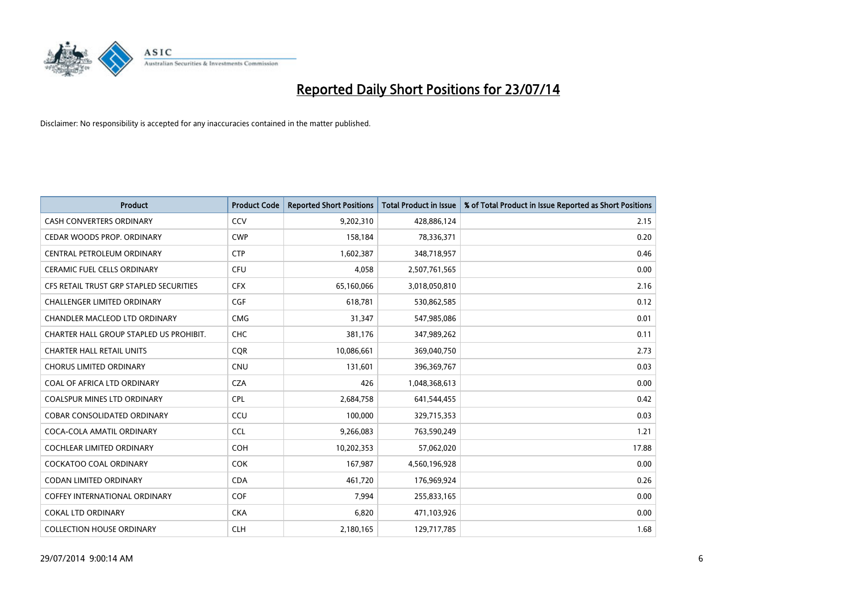

| <b>Product</b>                          | <b>Product Code</b> | <b>Reported Short Positions</b> | <b>Total Product in Issue</b> | % of Total Product in Issue Reported as Short Positions |
|-----------------------------------------|---------------------|---------------------------------|-------------------------------|---------------------------------------------------------|
| <b>CASH CONVERTERS ORDINARY</b>         | CCV                 | 9,202,310                       | 428,886,124                   | 2.15                                                    |
| CEDAR WOODS PROP. ORDINARY              | <b>CWP</b>          | 158,184                         | 78,336,371                    | 0.20                                                    |
| CENTRAL PETROLEUM ORDINARY              | <b>CTP</b>          | 1,602,387                       | 348,718,957                   | 0.46                                                    |
| CERAMIC FUEL CELLS ORDINARY             | <b>CFU</b>          | 4,058                           | 2,507,761,565                 | 0.00                                                    |
| CFS RETAIL TRUST GRP STAPLED SECURITIES | <b>CFX</b>          | 65,160,066                      | 3,018,050,810                 | 2.16                                                    |
| <b>CHALLENGER LIMITED ORDINARY</b>      | <b>CGF</b>          | 618,781                         | 530,862,585                   | 0.12                                                    |
| CHANDLER MACLEOD LTD ORDINARY           | <b>CMG</b>          | 31,347                          | 547,985,086                   | 0.01                                                    |
| CHARTER HALL GROUP STAPLED US PROHIBIT. | <b>CHC</b>          | 381,176                         | 347,989,262                   | 0.11                                                    |
| <b>CHARTER HALL RETAIL UNITS</b>        | <b>COR</b>          | 10,086,661                      | 369,040,750                   | 2.73                                                    |
| <b>CHORUS LIMITED ORDINARY</b>          | <b>CNU</b>          | 131,601                         | 396,369,767                   | 0.03                                                    |
| COAL OF AFRICA LTD ORDINARY             | <b>CZA</b>          | 426                             | 1,048,368,613                 | 0.00                                                    |
| <b>COALSPUR MINES LTD ORDINARY</b>      | <b>CPL</b>          | 2,684,758                       | 641,544,455                   | 0.42                                                    |
| COBAR CONSOLIDATED ORDINARY             | CCU                 | 100,000                         | 329,715,353                   | 0.03                                                    |
| COCA-COLA AMATIL ORDINARY               | <b>CCL</b>          | 9,266,083                       | 763,590,249                   | 1.21                                                    |
| <b>COCHLEAR LIMITED ORDINARY</b>        | <b>COH</b>          | 10,202,353                      | 57,062,020                    | 17.88                                                   |
| COCKATOO COAL ORDINARY                  | <b>COK</b>          | 167,987                         | 4,560,196,928                 | 0.00                                                    |
| CODAN LIMITED ORDINARY                  | <b>CDA</b>          | 461,720                         | 176,969,924                   | 0.26                                                    |
| <b>COFFEY INTERNATIONAL ORDINARY</b>    | <b>COF</b>          | 7,994                           | 255,833,165                   | 0.00                                                    |
| <b>COKAL LTD ORDINARY</b>               | <b>CKA</b>          | 6,820                           | 471,103,926                   | 0.00                                                    |
| <b>COLLECTION HOUSE ORDINARY</b>        | <b>CLH</b>          | 2,180,165                       | 129,717,785                   | 1.68                                                    |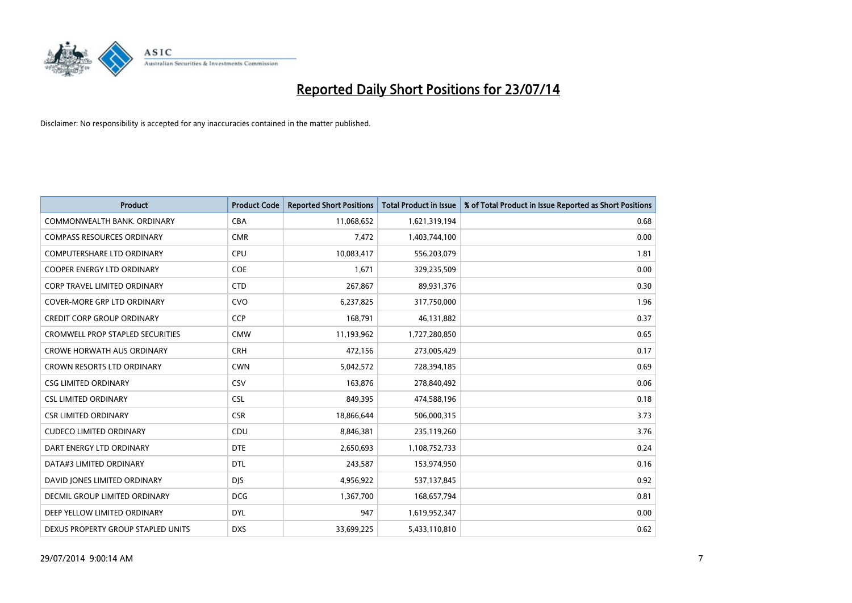

| <b>Product</b>                          | <b>Product Code</b> | <b>Reported Short Positions</b> | <b>Total Product in Issue</b> | % of Total Product in Issue Reported as Short Positions |
|-----------------------------------------|---------------------|---------------------------------|-------------------------------|---------------------------------------------------------|
| COMMONWEALTH BANK, ORDINARY             | <b>CBA</b>          | 11,068,652                      | 1,621,319,194                 | 0.68                                                    |
| <b>COMPASS RESOURCES ORDINARY</b>       | <b>CMR</b>          | 7,472                           | 1,403,744,100                 | 0.00                                                    |
| <b>COMPUTERSHARE LTD ORDINARY</b>       | <b>CPU</b>          | 10,083,417                      | 556,203,079                   | 1.81                                                    |
| COOPER ENERGY LTD ORDINARY              | <b>COE</b>          | 1,671                           | 329,235,509                   | 0.00                                                    |
| <b>CORP TRAVEL LIMITED ORDINARY</b>     | <b>CTD</b>          | 267,867                         | 89,931,376                    | 0.30                                                    |
| <b>COVER-MORE GRP LTD ORDINARY</b>      | <b>CVO</b>          | 6,237,825                       | 317,750,000                   | 1.96                                                    |
| <b>CREDIT CORP GROUP ORDINARY</b>       | <b>CCP</b>          | 168,791                         | 46,131,882                    | 0.37                                                    |
| <b>CROMWELL PROP STAPLED SECURITIES</b> | <b>CMW</b>          | 11,193,962                      | 1,727,280,850                 | 0.65                                                    |
| <b>CROWE HORWATH AUS ORDINARY</b>       | <b>CRH</b>          | 472,156                         | 273,005,429                   | 0.17                                                    |
| <b>CROWN RESORTS LTD ORDINARY</b>       | <b>CWN</b>          | 5,042,572                       | 728,394,185                   | 0.69                                                    |
| <b>CSG LIMITED ORDINARY</b>             | CSV                 | 163,876                         | 278,840,492                   | 0.06                                                    |
| <b>CSL LIMITED ORDINARY</b>             | <b>CSL</b>          | 849,395                         | 474,588,196                   | 0.18                                                    |
| <b>CSR LIMITED ORDINARY</b>             | <b>CSR</b>          | 18,866,644                      | 506,000,315                   | 3.73                                                    |
| <b>CUDECO LIMITED ORDINARY</b>          | CDU                 | 8,846,381                       | 235,119,260                   | 3.76                                                    |
| DART ENERGY LTD ORDINARY                | <b>DTE</b>          | 2,650,693                       | 1,108,752,733                 | 0.24                                                    |
| DATA#3 LIMITED ORDINARY                 | DTL                 | 243,587                         | 153,974,950                   | 0.16                                                    |
| DAVID JONES LIMITED ORDINARY            | <b>DJS</b>          | 4,956,922                       | 537,137,845                   | 0.92                                                    |
| <b>DECMIL GROUP LIMITED ORDINARY</b>    | <b>DCG</b>          | 1,367,700                       | 168,657,794                   | 0.81                                                    |
| DEEP YELLOW LIMITED ORDINARY            | <b>DYL</b>          | 947                             | 1,619,952,347                 | 0.00                                                    |
| DEXUS PROPERTY GROUP STAPLED UNITS      | <b>DXS</b>          | 33,699,225                      | 5,433,110,810                 | 0.62                                                    |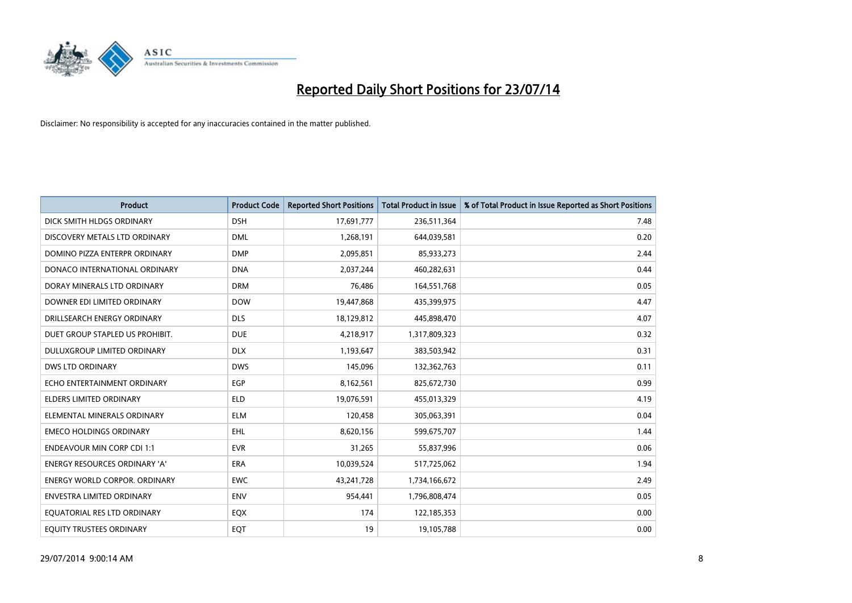

| <b>Product</b>                       | <b>Product Code</b> | <b>Reported Short Positions</b> | <b>Total Product in Issue</b> | % of Total Product in Issue Reported as Short Positions |
|--------------------------------------|---------------------|---------------------------------|-------------------------------|---------------------------------------------------------|
| DICK SMITH HLDGS ORDINARY            | <b>DSH</b>          | 17,691,777                      | 236,511,364                   | 7.48                                                    |
| DISCOVERY METALS LTD ORDINARY        | <b>DML</b>          | 1,268,191                       | 644,039,581                   | 0.20                                                    |
| DOMINO PIZZA ENTERPR ORDINARY        | <b>DMP</b>          | 2,095,851                       | 85,933,273                    | 2.44                                                    |
| DONACO INTERNATIONAL ORDINARY        | <b>DNA</b>          | 2,037,244                       | 460,282,631                   | 0.44                                                    |
| DORAY MINERALS LTD ORDINARY          | <b>DRM</b>          | 76,486                          | 164,551,768                   | 0.05                                                    |
| DOWNER EDI LIMITED ORDINARY          | <b>DOW</b>          | 19,447,868                      | 435,399,975                   | 4.47                                                    |
| DRILLSEARCH ENERGY ORDINARY          | <b>DLS</b>          | 18,129,812                      | 445,898,470                   | 4.07                                                    |
| DUET GROUP STAPLED US PROHIBIT.      | <b>DUE</b>          | 4,218,917                       | 1,317,809,323                 | 0.32                                                    |
| DULUXGROUP LIMITED ORDINARY          | <b>DLX</b>          | 1,193,647                       | 383,503,942                   | 0.31                                                    |
| <b>DWS LTD ORDINARY</b>              | <b>DWS</b>          | 145,096                         | 132,362,763                   | 0.11                                                    |
| ECHO ENTERTAINMENT ORDINARY          | <b>EGP</b>          | 8,162,561                       | 825,672,730                   | 0.99                                                    |
| <b>ELDERS LIMITED ORDINARY</b>       | <b>ELD</b>          | 19,076,591                      | 455,013,329                   | 4.19                                                    |
| ELEMENTAL MINERALS ORDINARY          | <b>ELM</b>          | 120,458                         | 305,063,391                   | 0.04                                                    |
| <b>EMECO HOLDINGS ORDINARY</b>       | EHL                 | 8,620,156                       | 599,675,707                   | 1.44                                                    |
| <b>ENDEAVOUR MIN CORP CDI 1:1</b>    | <b>EVR</b>          | 31,265                          | 55,837,996                    | 0.06                                                    |
| <b>ENERGY RESOURCES ORDINARY 'A'</b> | ERA                 | 10,039,524                      | 517,725,062                   | 1.94                                                    |
| <b>ENERGY WORLD CORPOR. ORDINARY</b> | <b>EWC</b>          | 43,241,728                      | 1,734,166,672                 | 2.49                                                    |
| ENVESTRA LIMITED ORDINARY            | <b>ENV</b>          | 954,441                         | 1,796,808,474                 | 0.05                                                    |
| EQUATORIAL RES LTD ORDINARY          | EQX                 | 174                             | 122,185,353                   | 0.00                                                    |
| EQUITY TRUSTEES ORDINARY             | EQT                 | 19                              | 19,105,788                    | 0.00                                                    |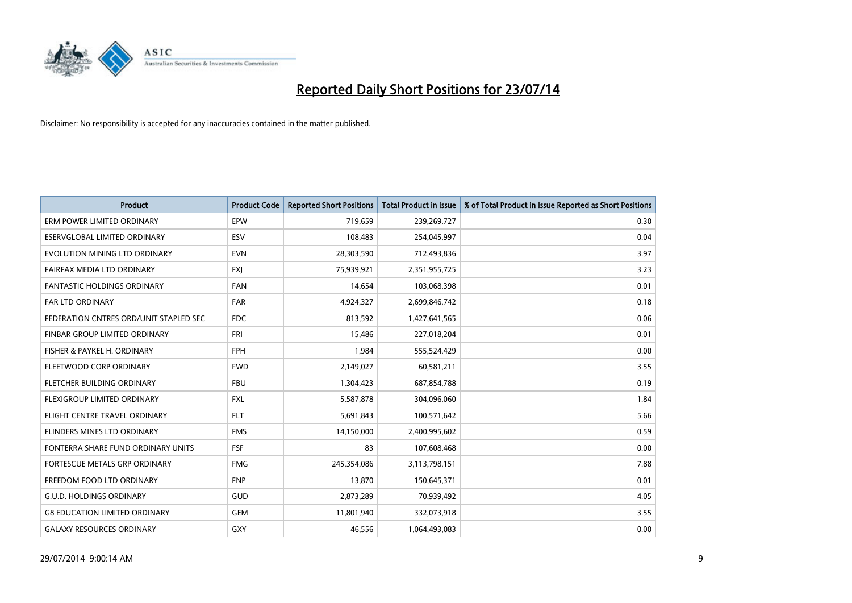

| <b>Product</b>                         | <b>Product Code</b> | <b>Reported Short Positions</b> | <b>Total Product in Issue</b> | % of Total Product in Issue Reported as Short Positions |
|----------------------------------------|---------------------|---------------------------------|-------------------------------|---------------------------------------------------------|
| ERM POWER LIMITED ORDINARY             | EPW                 | 719,659                         | 239,269,727                   | 0.30                                                    |
| ESERVGLOBAL LIMITED ORDINARY           | <b>ESV</b>          | 108,483                         | 254,045,997                   | 0.04                                                    |
| EVOLUTION MINING LTD ORDINARY          | <b>EVN</b>          | 28,303,590                      | 712,493,836                   | 3.97                                                    |
| FAIRFAX MEDIA LTD ORDINARY             | <b>FXJ</b>          | 75,939,921                      | 2,351,955,725                 | 3.23                                                    |
| <b>FANTASTIC HOLDINGS ORDINARY</b>     | <b>FAN</b>          | 14,654                          | 103,068,398                   | 0.01                                                    |
| <b>FAR LTD ORDINARY</b>                | <b>FAR</b>          | 4,924,327                       | 2,699,846,742                 | 0.18                                                    |
| FEDERATION CNTRES ORD/UNIT STAPLED SEC | FDC                 | 813,592                         | 1,427,641,565                 | 0.06                                                    |
| FINBAR GROUP LIMITED ORDINARY          | <b>FRI</b>          | 15,486                          | 227,018,204                   | 0.01                                                    |
| FISHER & PAYKEL H. ORDINARY            | <b>FPH</b>          | 1,984                           | 555,524,429                   | 0.00                                                    |
| FLEETWOOD CORP ORDINARY                | <b>FWD</b>          | 2,149,027                       | 60,581,211                    | 3.55                                                    |
| FLETCHER BUILDING ORDINARY             | <b>FBU</b>          | 1,304,423                       | 687,854,788                   | 0.19                                                    |
| FLEXIGROUP LIMITED ORDINARY            | <b>FXL</b>          | 5,587,878                       | 304,096,060                   | 1.84                                                    |
| FLIGHT CENTRE TRAVEL ORDINARY          | <b>FLT</b>          | 5,691,843                       | 100,571,642                   | 5.66                                                    |
| FLINDERS MINES LTD ORDINARY            | <b>FMS</b>          | 14,150,000                      | 2,400,995,602                 | 0.59                                                    |
| FONTERRA SHARE FUND ORDINARY UNITS     | <b>FSF</b>          | 83                              | 107,608,468                   | 0.00                                                    |
| FORTESCUE METALS GRP ORDINARY          | <b>FMG</b>          | 245,354,086                     | 3,113,798,151                 | 7.88                                                    |
| FREEDOM FOOD LTD ORDINARY              | <b>FNP</b>          | 13,870                          | 150,645,371                   | 0.01                                                    |
| <b>G.U.D. HOLDINGS ORDINARY</b>        | <b>GUD</b>          | 2,873,289                       | 70,939,492                    | 4.05                                                    |
| <b>G8 EDUCATION LIMITED ORDINARY</b>   | GEM                 | 11,801,940                      | 332,073,918                   | 3.55                                                    |
| <b>GALAXY RESOURCES ORDINARY</b>       | GXY                 | 46,556                          | 1,064,493,083                 | 0.00                                                    |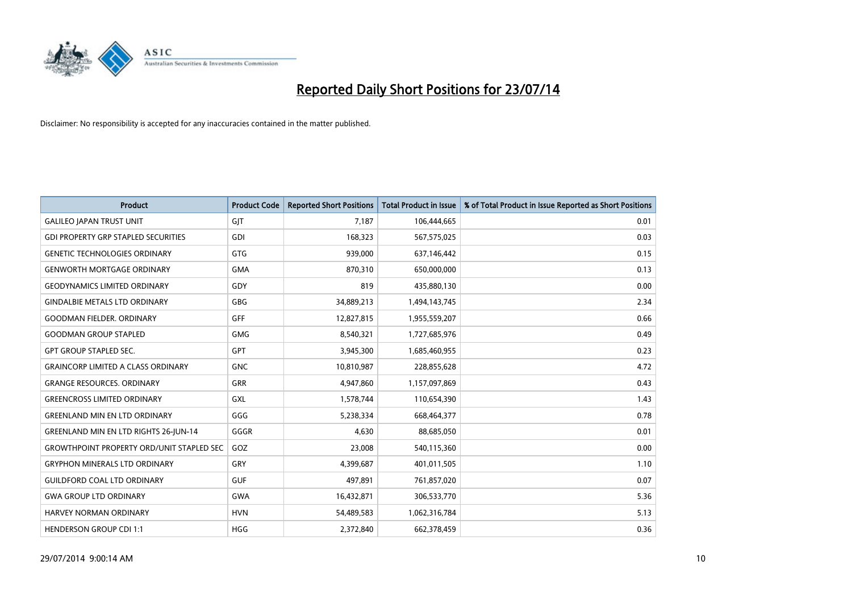

| <b>Product</b>                                   | <b>Product Code</b> | <b>Reported Short Positions</b> | <b>Total Product in Issue</b> | % of Total Product in Issue Reported as Short Positions |
|--------------------------------------------------|---------------------|---------------------------------|-------------------------------|---------------------------------------------------------|
| <b>GALILEO JAPAN TRUST UNIT</b>                  | GJT                 | 7,187                           | 106,444,665                   | 0.01                                                    |
| <b>GDI PROPERTY GRP STAPLED SECURITIES</b>       | GDI                 | 168,323                         | 567,575,025                   | 0.03                                                    |
| <b>GENETIC TECHNOLOGIES ORDINARY</b>             | GTG                 | 939,000                         | 637,146,442                   | 0.15                                                    |
| <b>GENWORTH MORTGAGE ORDINARY</b>                | <b>GMA</b>          | 870,310                         | 650,000,000                   | 0.13                                                    |
| <b>GEODYNAMICS LIMITED ORDINARY</b>              | GDY                 | 819                             | 435,880,130                   | 0.00                                                    |
| <b>GINDALBIE METALS LTD ORDINARY</b>             | GBG                 | 34,889,213                      | 1,494,143,745                 | 2.34                                                    |
| <b>GOODMAN FIELDER. ORDINARY</b>                 | <b>GFF</b>          | 12,827,815                      | 1,955,559,207                 | 0.66                                                    |
| <b>GOODMAN GROUP STAPLED</b>                     | GMG                 | 8,540,321                       | 1,727,685,976                 | 0.49                                                    |
| <b>GPT GROUP STAPLED SEC.</b>                    | GPT                 | 3,945,300                       | 1,685,460,955                 | 0.23                                                    |
| <b>GRAINCORP LIMITED A CLASS ORDINARY</b>        | <b>GNC</b>          | 10,810,987                      | 228,855,628                   | 4.72                                                    |
| <b>GRANGE RESOURCES. ORDINARY</b>                | GRR                 | 4,947,860                       | 1,157,097,869                 | 0.43                                                    |
| <b>GREENCROSS LIMITED ORDINARY</b>               | GXL                 | 1,578,744                       | 110,654,390                   | 1.43                                                    |
| <b>GREENLAND MIN EN LTD ORDINARY</b>             | GGG                 | 5,238,334                       | 668,464,377                   | 0.78                                                    |
| <b>GREENLAND MIN EN LTD RIGHTS 26-JUN-14</b>     | GGGR                | 4,630                           | 88,685,050                    | 0.01                                                    |
| <b>GROWTHPOINT PROPERTY ORD/UNIT STAPLED SEC</b> | GOZ                 | 23,008                          | 540,115,360                   | 0.00                                                    |
| <b>GRYPHON MINERALS LTD ORDINARY</b>             | GRY                 | 4,399,687                       | 401,011,505                   | 1.10                                                    |
| <b>GUILDFORD COAL LTD ORDINARY</b>               | <b>GUF</b>          | 497,891                         | 761,857,020                   | 0.07                                                    |
| <b>GWA GROUP LTD ORDINARY</b>                    | <b>GWA</b>          | 16,432,871                      | 306,533,770                   | 5.36                                                    |
| <b>HARVEY NORMAN ORDINARY</b>                    | <b>HVN</b>          | 54,489,583                      | 1,062,316,784                 | 5.13                                                    |
| <b>HENDERSON GROUP CDI 1:1</b>                   | <b>HGG</b>          | 2,372,840                       | 662,378,459                   | 0.36                                                    |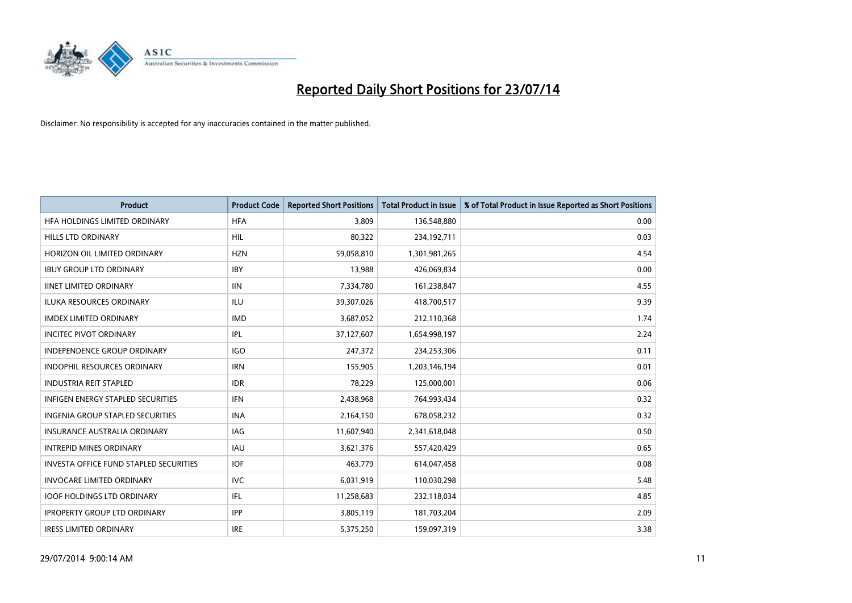

| <b>Product</b>                                | <b>Product Code</b> | <b>Reported Short Positions</b> | <b>Total Product in Issue</b> | % of Total Product in Issue Reported as Short Positions |
|-----------------------------------------------|---------------------|---------------------------------|-------------------------------|---------------------------------------------------------|
| HFA HOLDINGS LIMITED ORDINARY                 | <b>HFA</b>          | 3.809                           | 136,548,880                   | 0.00                                                    |
| HILLS LTD ORDINARY                            | HIL                 | 80,322                          | 234,192,711                   | 0.03                                                    |
| HORIZON OIL LIMITED ORDINARY                  | <b>HZN</b>          | 59,058,810                      | 1,301,981,265                 | 4.54                                                    |
| <b>IBUY GROUP LTD ORDINARY</b>                | <b>IBY</b>          | 13,988                          | 426,069,834                   | 0.00                                                    |
| <b>IINET LIMITED ORDINARY</b>                 | <b>IIN</b>          | 7,334,780                       | 161,238,847                   | 4.55                                                    |
| ILUKA RESOURCES ORDINARY                      | ILU                 | 39,307,026                      | 418,700,517                   | 9.39                                                    |
| <b>IMDEX LIMITED ORDINARY</b>                 | <b>IMD</b>          | 3,687,052                       | 212,110,368                   | 1.74                                                    |
| <b>INCITEC PIVOT ORDINARY</b>                 | IPL                 | 37,127,607                      | 1,654,998,197                 | 2.24                                                    |
| <b>INDEPENDENCE GROUP ORDINARY</b>            | <b>IGO</b>          | 247,372                         | 234,253,306                   | 0.11                                                    |
| <b>INDOPHIL RESOURCES ORDINARY</b>            | <b>IRN</b>          | 155,905                         | 1,203,146,194                 | 0.01                                                    |
| <b>INDUSTRIA REIT STAPLED</b>                 | <b>IDR</b>          | 78,229                          | 125,000,001                   | 0.06                                                    |
| <b>INFIGEN ENERGY STAPLED SECURITIES</b>      | IFN                 | 2,438,968                       | 764,993,434                   | 0.32                                                    |
| <b>INGENIA GROUP STAPLED SECURITIES</b>       | <b>INA</b>          | 2,164,150                       | 678,058,232                   | 0.32                                                    |
| <b>INSURANCE AUSTRALIA ORDINARY</b>           | IAG                 | 11,607,940                      | 2,341,618,048                 | 0.50                                                    |
| <b>INTREPID MINES ORDINARY</b>                | <b>IAU</b>          | 3,621,376                       | 557,420,429                   | 0.65                                                    |
| <b>INVESTA OFFICE FUND STAPLED SECURITIES</b> | <b>IOF</b>          | 463,779                         | 614,047,458                   | 0.08                                                    |
| <b>INVOCARE LIMITED ORDINARY</b>              | <b>IVC</b>          | 6,031,919                       | 110,030,298                   | 5.48                                                    |
| <b>IOOF HOLDINGS LTD ORDINARY</b>             | IFL                 | 11,258,683                      | 232,118,034                   | 4.85                                                    |
| <b>IPROPERTY GROUP LTD ORDINARY</b>           | <b>IPP</b>          | 3,805,119                       | 181,703,204                   | 2.09                                                    |
| <b>IRESS LIMITED ORDINARY</b>                 | <b>IRE</b>          | 5,375,250                       | 159,097,319                   | 3.38                                                    |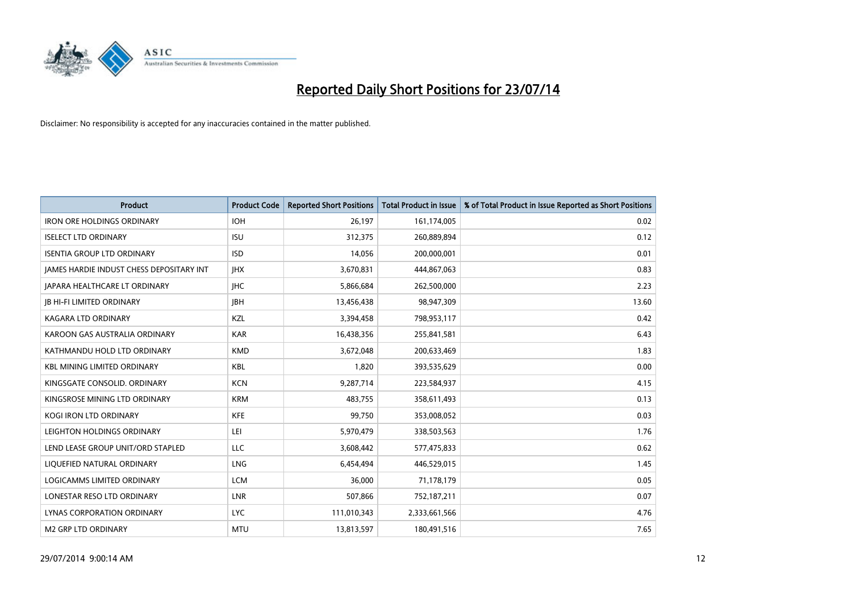

| <b>Product</b>                           | <b>Product Code</b> | <b>Reported Short Positions</b> | <b>Total Product in Issue</b> | % of Total Product in Issue Reported as Short Positions |
|------------------------------------------|---------------------|---------------------------------|-------------------------------|---------------------------------------------------------|
| <b>IRON ORE HOLDINGS ORDINARY</b>        | <b>IOH</b>          | 26,197                          | 161,174,005                   | 0.02                                                    |
| <b>ISELECT LTD ORDINARY</b>              | <b>ISU</b>          | 312,375                         | 260,889,894                   | 0.12                                                    |
| <b>ISENTIA GROUP LTD ORDINARY</b>        | <b>ISD</b>          | 14,056                          | 200,000,001                   | 0.01                                                    |
| JAMES HARDIE INDUST CHESS DEPOSITARY INT | <b>IHX</b>          | 3,670,831                       | 444,867,063                   | 0.83                                                    |
| JAPARA HEALTHCARE LT ORDINARY            | <b>IHC</b>          | 5,866,684                       | 262,500,000                   | 2.23                                                    |
| <b>JB HI-FI LIMITED ORDINARY</b>         | <b>IBH</b>          | 13,456,438                      | 98,947,309                    | 13.60                                                   |
| <b>KAGARA LTD ORDINARY</b>               | KZL                 | 3,394,458                       | 798,953,117                   | 0.42                                                    |
| KAROON GAS AUSTRALIA ORDINARY            | <b>KAR</b>          | 16,438,356                      | 255,841,581                   | 6.43                                                    |
| KATHMANDU HOLD LTD ORDINARY              | <b>KMD</b>          | 3,672,048                       | 200,633,469                   | 1.83                                                    |
| <b>KBL MINING LIMITED ORDINARY</b>       | <b>KBL</b>          | 1,820                           | 393,535,629                   | 0.00                                                    |
| KINGSGATE CONSOLID. ORDINARY             | <b>KCN</b>          | 9,287,714                       | 223,584,937                   | 4.15                                                    |
| KINGSROSE MINING LTD ORDINARY            | <b>KRM</b>          | 483,755                         | 358,611,493                   | 0.13                                                    |
| KOGI IRON LTD ORDINARY                   | <b>KFE</b>          | 99,750                          | 353,008,052                   | 0.03                                                    |
| LEIGHTON HOLDINGS ORDINARY               | LEI                 | 5,970,479                       | 338,503,563                   | 1.76                                                    |
| LEND LEASE GROUP UNIT/ORD STAPLED        | <b>LLC</b>          | 3,608,442                       | 577,475,833                   | 0.62                                                    |
| LIQUEFIED NATURAL ORDINARY               | LNG                 | 6,454,494                       | 446,529,015                   | 1.45                                                    |
| LOGICAMMS LIMITED ORDINARY               | <b>LCM</b>          | 36,000                          | 71,178,179                    | 0.05                                                    |
| LONESTAR RESO LTD ORDINARY               | LNR                 | 507,866                         | 752,187,211                   | 0.07                                                    |
| LYNAS CORPORATION ORDINARY               | <b>LYC</b>          | 111,010,343                     | 2,333,661,566                 | 4.76                                                    |
| <b>M2 GRP LTD ORDINARY</b>               | <b>MTU</b>          | 13,813,597                      | 180,491,516                   | 7.65                                                    |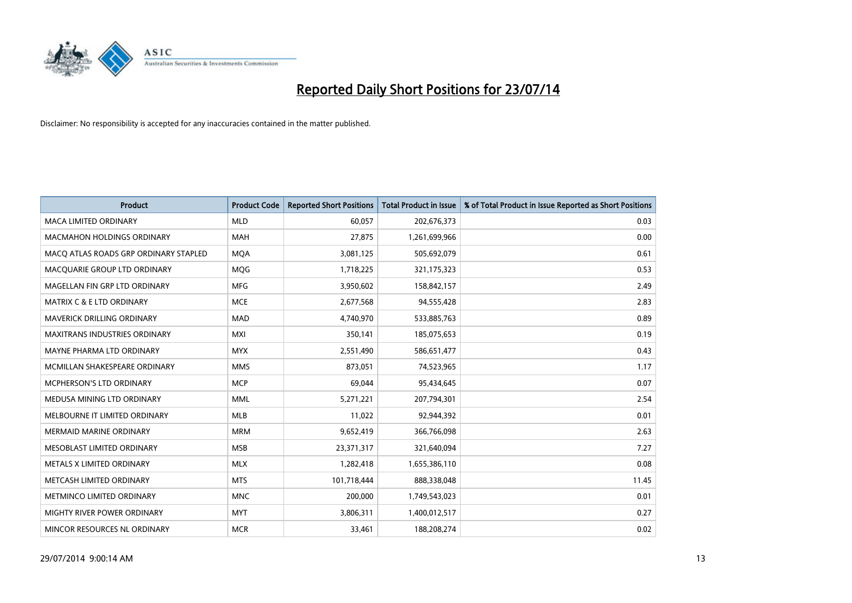

| <b>Product</b>                        | <b>Product Code</b> | <b>Reported Short Positions</b> | <b>Total Product in Issue</b> | % of Total Product in Issue Reported as Short Positions |
|---------------------------------------|---------------------|---------------------------------|-------------------------------|---------------------------------------------------------|
| <b>MACA LIMITED ORDINARY</b>          | <b>MLD</b>          | 60,057                          | 202,676,373                   | 0.03                                                    |
| MACMAHON HOLDINGS ORDINARY            | <b>MAH</b>          | 27,875                          | 1,261,699,966                 | 0.00                                                    |
| MACO ATLAS ROADS GRP ORDINARY STAPLED | <b>MQA</b>          | 3,081,125                       | 505,692,079                   | 0.61                                                    |
| MACQUARIE GROUP LTD ORDINARY          | <b>MQG</b>          | 1,718,225                       | 321,175,323                   | 0.53                                                    |
| MAGELLAN FIN GRP LTD ORDINARY         | <b>MFG</b>          | 3,950,602                       | 158,842,157                   | 2.49                                                    |
| <b>MATRIX C &amp; E LTD ORDINARY</b>  | <b>MCE</b>          | 2,677,568                       | 94,555,428                    | 2.83                                                    |
| MAVERICK DRILLING ORDINARY            | <b>MAD</b>          | 4,740,970                       | 533,885,763                   | 0.89                                                    |
| MAXITRANS INDUSTRIES ORDINARY         | <b>MXI</b>          | 350,141                         | 185,075,653                   | 0.19                                                    |
| MAYNE PHARMA LTD ORDINARY             | <b>MYX</b>          | 2,551,490                       | 586,651,477                   | 0.43                                                    |
| MCMILLAN SHAKESPEARE ORDINARY         | <b>MMS</b>          | 873,051                         | 74,523,965                    | 1.17                                                    |
| MCPHERSON'S LTD ORDINARY              | <b>MCP</b>          | 69,044                          | 95,434,645                    | 0.07                                                    |
| MEDUSA MINING LTD ORDINARY            | <b>MML</b>          | 5,271,221                       | 207,794,301                   | 2.54                                                    |
| MELBOURNE IT LIMITED ORDINARY         | <b>MLB</b>          | 11,022                          | 92,944,392                    | 0.01                                                    |
| <b>MERMAID MARINE ORDINARY</b>        | <b>MRM</b>          | 9,652,419                       | 366,766,098                   | 2.63                                                    |
| MESOBLAST LIMITED ORDINARY            | <b>MSB</b>          | 23,371,317                      | 321,640,094                   | 7.27                                                    |
| METALS X LIMITED ORDINARY             | <b>MLX</b>          | 1,282,418                       | 1,655,386,110                 | 0.08                                                    |
| METCASH LIMITED ORDINARY              | <b>MTS</b>          | 101,718,444                     | 888,338,048                   | 11.45                                                   |
| METMINCO LIMITED ORDINARY             | <b>MNC</b>          | 200,000                         | 1,749,543,023                 | 0.01                                                    |
| MIGHTY RIVER POWER ORDINARY           | <b>MYT</b>          | 3,806,311                       | 1,400,012,517                 | 0.27                                                    |
| MINCOR RESOURCES NL ORDINARY          | <b>MCR</b>          | 33,461                          | 188,208,274                   | 0.02                                                    |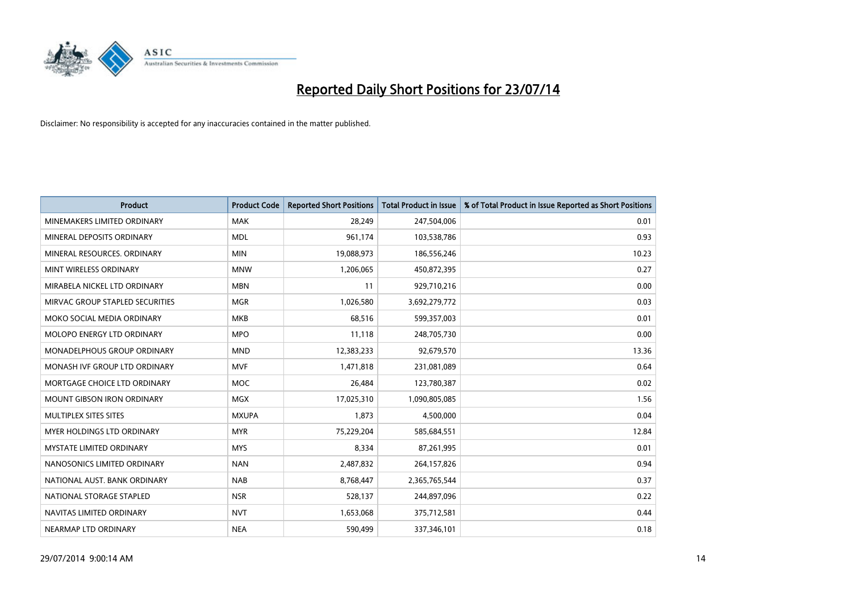

| <b>Product</b>                    | <b>Product Code</b> | <b>Reported Short Positions</b> | <b>Total Product in Issue</b> | % of Total Product in Issue Reported as Short Positions |
|-----------------------------------|---------------------|---------------------------------|-------------------------------|---------------------------------------------------------|
| MINEMAKERS LIMITED ORDINARY       | <b>MAK</b>          | 28,249                          | 247,504,006                   | 0.01                                                    |
| MINERAL DEPOSITS ORDINARY         | <b>MDL</b>          | 961,174                         | 103,538,786                   | 0.93                                                    |
| MINERAL RESOURCES, ORDINARY       | <b>MIN</b>          | 19,088,973                      | 186,556,246                   | 10.23                                                   |
| MINT WIRELESS ORDINARY            | <b>MNW</b>          | 1,206,065                       | 450,872,395                   | 0.27                                                    |
| MIRABELA NICKEL LTD ORDINARY      | <b>MBN</b>          | 11                              | 929,710,216                   | 0.00                                                    |
| MIRVAC GROUP STAPLED SECURITIES   | <b>MGR</b>          | 1,026,580                       | 3,692,279,772                 | 0.03                                                    |
| MOKO SOCIAL MEDIA ORDINARY        | <b>MKB</b>          | 68,516                          | 599,357,003                   | 0.01                                                    |
| MOLOPO ENERGY LTD ORDINARY        | <b>MPO</b>          | 11,118                          | 248,705,730                   | 0.00                                                    |
| MONADELPHOUS GROUP ORDINARY       | <b>MND</b>          | 12,383,233                      | 92,679,570                    | 13.36                                                   |
| MONASH IVF GROUP LTD ORDINARY     | MVF                 | 1,471,818                       | 231,081,089                   | 0.64                                                    |
| MORTGAGE CHOICE LTD ORDINARY      | MOC                 | 26,484                          | 123,780,387                   | 0.02                                                    |
| <b>MOUNT GIBSON IRON ORDINARY</b> | MGX                 | 17,025,310                      | 1,090,805,085                 | 1.56                                                    |
| MULTIPLEX SITES SITES             | <b>MXUPA</b>        | 1,873                           | 4,500,000                     | 0.04                                                    |
| <b>MYER HOLDINGS LTD ORDINARY</b> | <b>MYR</b>          | 75,229,204                      | 585,684,551                   | 12.84                                                   |
| <b>MYSTATE LIMITED ORDINARY</b>   | <b>MYS</b>          | 8,334                           | 87,261,995                    | 0.01                                                    |
| NANOSONICS LIMITED ORDINARY       | <b>NAN</b>          | 2,487,832                       | 264,157,826                   | 0.94                                                    |
| NATIONAL AUST. BANK ORDINARY      | <b>NAB</b>          | 8,768,447                       | 2,365,765,544                 | 0.37                                                    |
| NATIONAL STORAGE STAPLED          | <b>NSR</b>          | 528,137                         | 244,897,096                   | 0.22                                                    |
| NAVITAS LIMITED ORDINARY          | <b>NVT</b>          | 1,653,068                       | 375,712,581                   | 0.44                                                    |
| NEARMAP LTD ORDINARY              | <b>NEA</b>          | 590,499                         | 337,346,101                   | 0.18                                                    |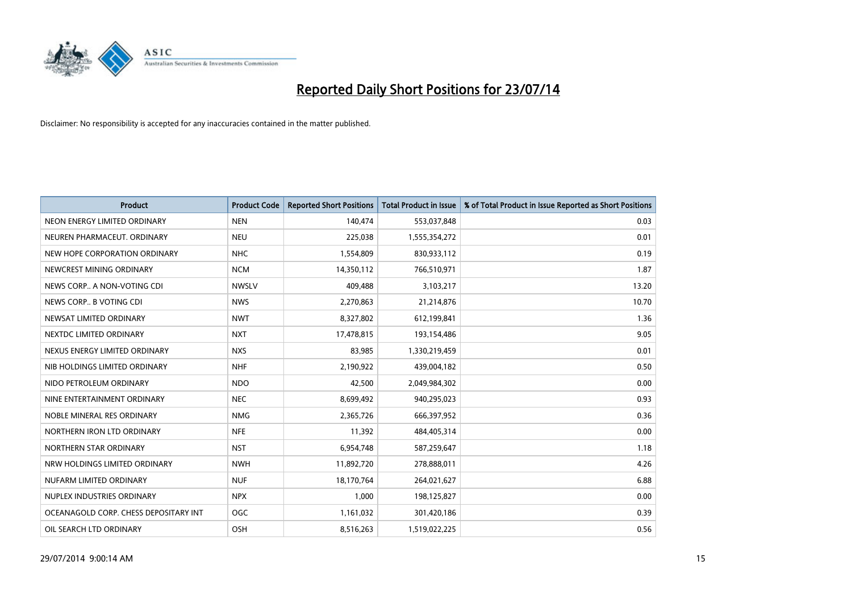

| <b>Product</b>                        | <b>Product Code</b> | <b>Reported Short Positions</b> | Total Product in Issue | % of Total Product in Issue Reported as Short Positions |
|---------------------------------------|---------------------|---------------------------------|------------------------|---------------------------------------------------------|
| NEON ENERGY LIMITED ORDINARY          | <b>NEN</b>          | 140,474                         | 553,037,848            | 0.03                                                    |
| NEUREN PHARMACEUT, ORDINARY           | <b>NEU</b>          | 225,038                         | 1,555,354,272          | 0.01                                                    |
| NEW HOPE CORPORATION ORDINARY         | <b>NHC</b>          | 1,554,809                       | 830,933,112            | 0.19                                                    |
| NEWCREST MINING ORDINARY              | <b>NCM</b>          | 14,350,112                      | 766,510,971            | 1.87                                                    |
| NEWS CORP A NON-VOTING CDI            | <b>NWSLV</b>        | 409,488                         | 3,103,217              | 13.20                                                   |
| NEWS CORP B VOTING CDI                | <b>NWS</b>          | 2,270,863                       | 21,214,876             | 10.70                                                   |
| NEWSAT LIMITED ORDINARY               | <b>NWT</b>          | 8,327,802                       | 612,199,841            | 1.36                                                    |
| NEXTDC LIMITED ORDINARY               | <b>NXT</b>          | 17,478,815                      | 193,154,486            | 9.05                                                    |
| NEXUS ENERGY LIMITED ORDINARY         | <b>NXS</b>          | 83,985                          | 1,330,219,459          | 0.01                                                    |
| NIB HOLDINGS LIMITED ORDINARY         | <b>NHF</b>          | 2,190,922                       | 439,004,182            | 0.50                                                    |
| NIDO PETROLEUM ORDINARY               | <b>NDO</b>          | 42,500                          | 2,049,984,302          | 0.00                                                    |
| NINE ENTERTAINMENT ORDINARY           | <b>NEC</b>          | 8,699,492                       | 940,295,023            | 0.93                                                    |
| NOBLE MINERAL RES ORDINARY            | <b>NMG</b>          | 2,365,726                       | 666,397,952            | 0.36                                                    |
| NORTHERN IRON LTD ORDINARY            | <b>NFE</b>          | 11,392                          | 484,405,314            | 0.00                                                    |
| NORTHERN STAR ORDINARY                | <b>NST</b>          | 6,954,748                       | 587,259,647            | 1.18                                                    |
| NRW HOLDINGS LIMITED ORDINARY         | <b>NWH</b>          | 11,892,720                      | 278,888,011            | 4.26                                                    |
| NUFARM LIMITED ORDINARY               | <b>NUF</b>          | 18,170,764                      | 264,021,627            | 6.88                                                    |
| NUPLEX INDUSTRIES ORDINARY            | <b>NPX</b>          | 1,000                           | 198,125,827            | 0.00                                                    |
| OCEANAGOLD CORP. CHESS DEPOSITARY INT | <b>OGC</b>          | 1,161,032                       | 301,420,186            | 0.39                                                    |
| OIL SEARCH LTD ORDINARY               | OSH                 | 8,516,263                       | 1,519,022,225          | 0.56                                                    |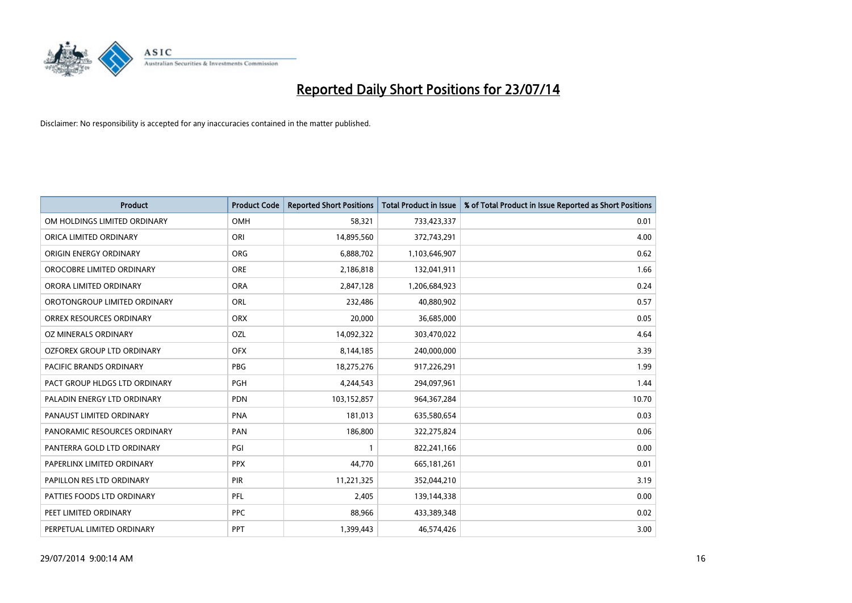

| <b>Product</b>                 | <b>Product Code</b> | <b>Reported Short Positions</b> | <b>Total Product in Issue</b> | % of Total Product in Issue Reported as Short Positions |
|--------------------------------|---------------------|---------------------------------|-------------------------------|---------------------------------------------------------|
| OM HOLDINGS LIMITED ORDINARY   | OMH                 | 58,321                          | 733,423,337                   | 0.01                                                    |
| ORICA LIMITED ORDINARY         | ORI                 | 14,895,560                      | 372,743,291                   | 4.00                                                    |
| <b>ORIGIN ENERGY ORDINARY</b>  | <b>ORG</b>          | 6,888,702                       | 1,103,646,907                 | 0.62                                                    |
| OROCOBRE LIMITED ORDINARY      | <b>ORE</b>          | 2,186,818                       | 132,041,911                   | 1.66                                                    |
| ORORA LIMITED ORDINARY         | <b>ORA</b>          | 2,847,128                       | 1,206,684,923                 | 0.24                                                    |
| OROTONGROUP LIMITED ORDINARY   | ORL                 | 232,486                         | 40,880,902                    | 0.57                                                    |
| ORREX RESOURCES ORDINARY       | <b>ORX</b>          | 20,000                          | 36,685,000                    | 0.05                                                    |
| OZ MINERALS ORDINARY           | OZL                 | 14,092,322                      | 303,470,022                   | 4.64                                                    |
| OZFOREX GROUP LTD ORDINARY     | <b>OFX</b>          | 8,144,185                       | 240,000,000                   | 3.39                                                    |
| <b>PACIFIC BRANDS ORDINARY</b> | <b>PBG</b>          | 18,275,276                      | 917,226,291                   | 1.99                                                    |
| PACT GROUP HLDGS LTD ORDINARY  | PGH                 | 4,244,543                       | 294,097,961                   | 1.44                                                    |
| PALADIN ENERGY LTD ORDINARY    | <b>PDN</b>          | 103,152,857                     | 964, 367, 284                 | 10.70                                                   |
| PANAUST LIMITED ORDINARY       | <b>PNA</b>          | 181,013                         | 635,580,654                   | 0.03                                                    |
| PANORAMIC RESOURCES ORDINARY   | PAN                 | 186,800                         | 322,275,824                   | 0.06                                                    |
| PANTERRA GOLD LTD ORDINARY     | PGI                 | 1                               | 822,241,166                   | 0.00                                                    |
| PAPERLINX LIMITED ORDINARY     | <b>PPX</b>          | 44,770                          | 665, 181, 261                 | 0.01                                                    |
| PAPILLON RES LTD ORDINARY      | PIR                 | 11,221,325                      | 352,044,210                   | 3.19                                                    |
| PATTIES FOODS LTD ORDINARY     | <b>PFL</b>          | 2,405                           | 139,144,338                   | 0.00                                                    |
| PEET LIMITED ORDINARY          | <b>PPC</b>          | 88,966                          | 433,389,348                   | 0.02                                                    |
| PERPETUAL LIMITED ORDINARY     | PPT                 | 1,399,443                       | 46,574,426                    | 3.00                                                    |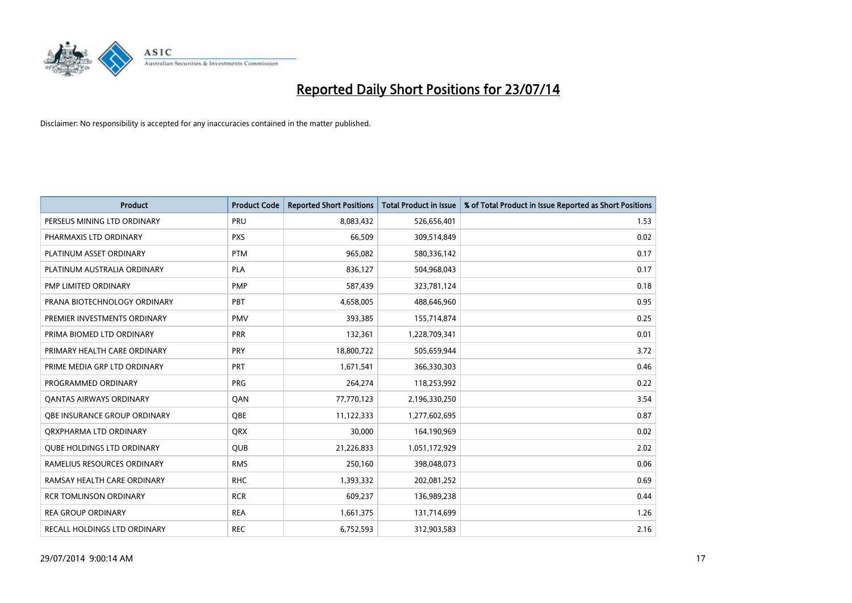

| <b>Product</b>                    | <b>Product Code</b> | <b>Reported Short Positions</b> | <b>Total Product in Issue</b> | % of Total Product in Issue Reported as Short Positions |
|-----------------------------------|---------------------|---------------------------------|-------------------------------|---------------------------------------------------------|
| PERSEUS MINING LTD ORDINARY       | PRU                 | 8,083,432                       | 526,656,401                   | 1.53                                                    |
| PHARMAXIS LTD ORDINARY            | <b>PXS</b>          | 66,509                          | 309,514,849                   | 0.02                                                    |
| PLATINUM ASSET ORDINARY           | <b>PTM</b>          | 965,082                         | 580,336,142                   | 0.17                                                    |
| PLATINUM AUSTRALIA ORDINARY       | PLA                 | 836,127                         | 504,968,043                   | 0.17                                                    |
| PMP LIMITED ORDINARY              | <b>PMP</b>          | 587,439                         | 323,781,124                   | 0.18                                                    |
| PRANA BIOTECHNOLOGY ORDINARY      | PBT                 | 4,658,005                       | 488,646,960                   | 0.95                                                    |
| PREMIER INVESTMENTS ORDINARY      | <b>PMV</b>          | 393,385                         | 155,714,874                   | 0.25                                                    |
| PRIMA BIOMED LTD ORDINARY         | <b>PRR</b>          | 132,361                         | 1,228,709,341                 | 0.01                                                    |
| PRIMARY HEALTH CARE ORDINARY      | <b>PRY</b>          | 18,800,722                      | 505,659,944                   | 3.72                                                    |
| PRIME MEDIA GRP LTD ORDINARY      | <b>PRT</b>          | 1,671,541                       | 366,330,303                   | 0.46                                                    |
| PROGRAMMED ORDINARY               | <b>PRG</b>          | 264,274                         | 118,253,992                   | 0.22                                                    |
| <b>QANTAS AIRWAYS ORDINARY</b>    | QAN                 | 77,770,123                      | 2,196,330,250                 | 3.54                                                    |
| OBE INSURANCE GROUP ORDINARY      | <b>OBE</b>          | 11,122,333                      | 1,277,602,695                 | 0.87                                                    |
| ORXPHARMA LTD ORDINARY            | <b>QRX</b>          | 30,000                          | 164,190,969                   | 0.02                                                    |
| <b>QUBE HOLDINGS LTD ORDINARY</b> | <b>QUB</b>          | 21,226,833                      | 1,051,172,929                 | 2.02                                                    |
| RAMELIUS RESOURCES ORDINARY       | <b>RMS</b>          | 250,160                         | 398,048,073                   | 0.06                                                    |
| RAMSAY HEALTH CARE ORDINARY       | <b>RHC</b>          | 1,393,332                       | 202,081,252                   | 0.69                                                    |
| <b>RCR TOMLINSON ORDINARY</b>     | <b>RCR</b>          | 609,237                         | 136,989,238                   | 0.44                                                    |
| <b>REA GROUP ORDINARY</b>         | <b>REA</b>          | 1,661,375                       | 131,714,699                   | 1.26                                                    |
| RECALL HOLDINGS LTD ORDINARY      | <b>REC</b>          | 6,752,593                       | 312,903,583                   | 2.16                                                    |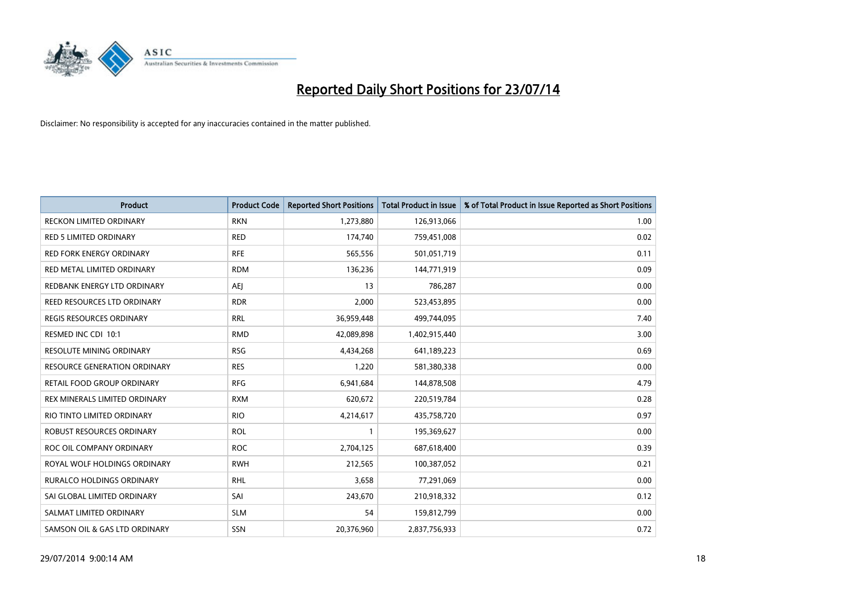

| <b>Product</b>                      | <b>Product Code</b> | <b>Reported Short Positions</b> | <b>Total Product in Issue</b> | % of Total Product in Issue Reported as Short Positions |
|-------------------------------------|---------------------|---------------------------------|-------------------------------|---------------------------------------------------------|
| <b>RECKON LIMITED ORDINARY</b>      | <b>RKN</b>          | 1,273,880                       | 126,913,066                   | 1.00                                                    |
| <b>RED 5 LIMITED ORDINARY</b>       | <b>RED</b>          | 174,740                         | 759,451,008                   | 0.02                                                    |
| <b>RED FORK ENERGY ORDINARY</b>     | <b>RFE</b>          | 565,556                         | 501,051,719                   | 0.11                                                    |
| RED METAL LIMITED ORDINARY          | <b>RDM</b>          | 136,236                         | 144,771,919                   | 0.09                                                    |
| REDBANK ENERGY LTD ORDINARY         | <b>AEI</b>          | 13                              | 786,287                       | 0.00                                                    |
| REED RESOURCES LTD ORDINARY         | <b>RDR</b>          | 2,000                           | 523,453,895                   | 0.00                                                    |
| <b>REGIS RESOURCES ORDINARY</b>     | <b>RRL</b>          | 36,959,448                      | 499,744,095                   | 7.40                                                    |
| RESMED INC CDI 10:1                 | <b>RMD</b>          | 42,089,898                      | 1,402,915,440                 | 3.00                                                    |
| <b>RESOLUTE MINING ORDINARY</b>     | <b>RSG</b>          | 4,434,268                       | 641,189,223                   | 0.69                                                    |
| <b>RESOURCE GENERATION ORDINARY</b> | <b>RES</b>          | 1,220                           | 581,380,338                   | 0.00                                                    |
| RETAIL FOOD GROUP ORDINARY          | <b>RFG</b>          | 6,941,684                       | 144,878,508                   | 4.79                                                    |
| REX MINERALS LIMITED ORDINARY       | <b>RXM</b>          | 620,672                         | 220,519,784                   | 0.28                                                    |
| RIO TINTO LIMITED ORDINARY          | <b>RIO</b>          | 4,214,617                       | 435,758,720                   | 0.97                                                    |
| ROBUST RESOURCES ORDINARY           | <b>ROL</b>          | $\mathbf{1}$                    | 195,369,627                   | 0.00                                                    |
| ROC OIL COMPANY ORDINARY            | <b>ROC</b>          | 2,704,125                       | 687,618,400                   | 0.39                                                    |
| ROYAL WOLF HOLDINGS ORDINARY        | <b>RWH</b>          | 212,565                         | 100,387,052                   | 0.21                                                    |
| RURALCO HOLDINGS ORDINARY           | <b>RHL</b>          | 3,658                           | 77,291,069                    | 0.00                                                    |
| SAI GLOBAL LIMITED ORDINARY         | SAI                 | 243,670                         | 210,918,332                   | 0.12                                                    |
| SALMAT LIMITED ORDINARY             | <b>SLM</b>          | 54                              | 159,812,799                   | 0.00                                                    |
| SAMSON OIL & GAS LTD ORDINARY       | SSN                 | 20,376,960                      | 2,837,756,933                 | 0.72                                                    |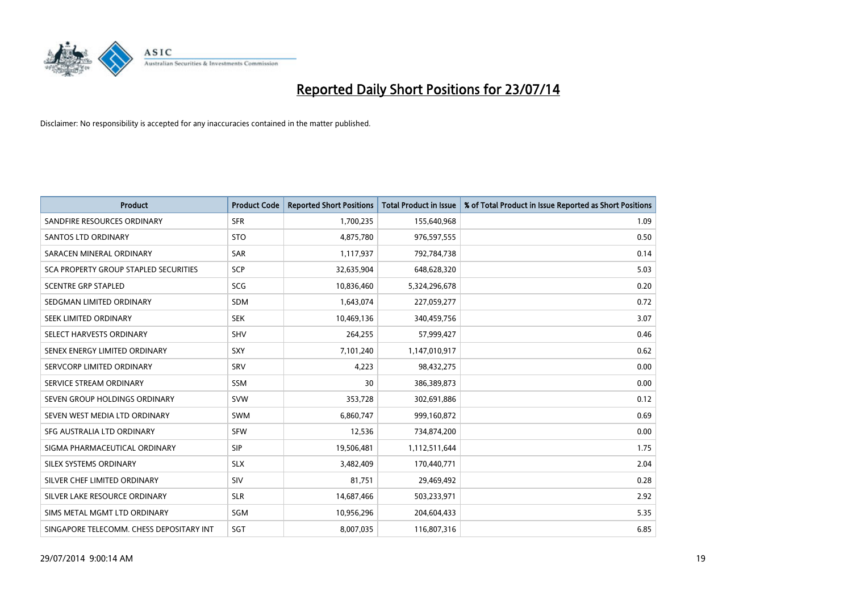

| <b>Product</b>                           | <b>Product Code</b> | <b>Reported Short Positions</b> | <b>Total Product in Issue</b> | % of Total Product in Issue Reported as Short Positions |
|------------------------------------------|---------------------|---------------------------------|-------------------------------|---------------------------------------------------------|
| SANDFIRE RESOURCES ORDINARY              | <b>SFR</b>          | 1,700,235                       | 155,640,968                   | 1.09                                                    |
| SANTOS LTD ORDINARY                      | <b>STO</b>          | 4,875,780                       | 976,597,555                   | 0.50                                                    |
| SARACEN MINERAL ORDINARY                 | <b>SAR</b>          | 1,117,937                       | 792,784,738                   | 0.14                                                    |
| SCA PROPERTY GROUP STAPLED SECURITIES    | <b>SCP</b>          | 32,635,904                      | 648,628,320                   | 5.03                                                    |
| <b>SCENTRE GRP STAPLED</b>               | SCG                 | 10,836,460                      | 5,324,296,678                 | 0.20                                                    |
| SEDGMAN LIMITED ORDINARY                 | <b>SDM</b>          | 1,643,074                       | 227,059,277                   | 0.72                                                    |
| SEEK LIMITED ORDINARY                    | <b>SEK</b>          | 10,469,136                      | 340,459,756                   | 3.07                                                    |
| SELECT HARVESTS ORDINARY                 | <b>SHV</b>          | 264,255                         | 57,999,427                    | 0.46                                                    |
| SENEX ENERGY LIMITED ORDINARY            | <b>SXY</b>          | 7,101,240                       | 1,147,010,917                 | 0.62                                                    |
| SERVCORP LIMITED ORDINARY                | SRV                 | 4,223                           | 98,432,275                    | 0.00                                                    |
| SERVICE STREAM ORDINARY                  | <b>SSM</b>          | 30                              | 386,389,873                   | 0.00                                                    |
| SEVEN GROUP HOLDINGS ORDINARY            | <b>SVW</b>          | 353,728                         | 302,691,886                   | 0.12                                                    |
| SEVEN WEST MEDIA LTD ORDINARY            | <b>SWM</b>          | 6,860,747                       | 999,160,872                   | 0.69                                                    |
| SFG AUSTRALIA LTD ORDINARY               | <b>SFW</b>          | 12,536                          | 734,874,200                   | 0.00                                                    |
| SIGMA PHARMACEUTICAL ORDINARY            | <b>SIP</b>          | 19,506,481                      | 1,112,511,644                 | 1.75                                                    |
| SILEX SYSTEMS ORDINARY                   | <b>SLX</b>          | 3,482,409                       | 170,440,771                   | 2.04                                                    |
| SILVER CHEF LIMITED ORDINARY             | SIV                 | 81,751                          | 29,469,492                    | 0.28                                                    |
| SILVER LAKE RESOURCE ORDINARY            | <b>SLR</b>          | 14,687,466                      | 503,233,971                   | 2.92                                                    |
| SIMS METAL MGMT LTD ORDINARY             | SGM                 | 10,956,296                      | 204,604,433                   | 5.35                                                    |
| SINGAPORE TELECOMM. CHESS DEPOSITARY INT | SGT                 | 8,007,035                       | 116,807,316                   | 6.85                                                    |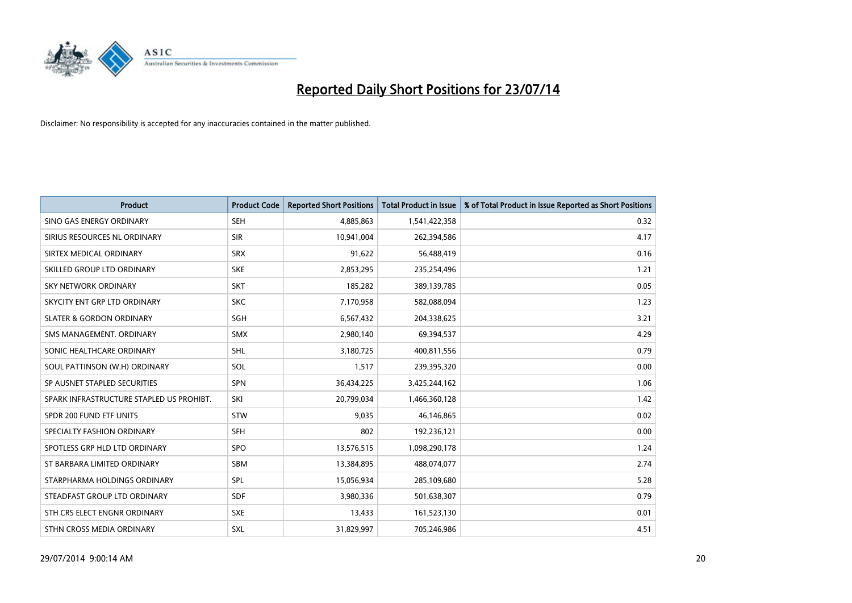

| <b>Product</b>                           | <b>Product Code</b> | <b>Reported Short Positions</b> | <b>Total Product in Issue</b> | % of Total Product in Issue Reported as Short Positions |
|------------------------------------------|---------------------|---------------------------------|-------------------------------|---------------------------------------------------------|
| SINO GAS ENERGY ORDINARY                 | <b>SEH</b>          | 4,885,863                       | 1,541,422,358                 | 0.32                                                    |
| SIRIUS RESOURCES NL ORDINARY             | <b>SIR</b>          | 10,941,004                      | 262,394,586                   | 4.17                                                    |
| SIRTEX MEDICAL ORDINARY                  | <b>SRX</b>          | 91,622                          | 56,488,419                    | 0.16                                                    |
| SKILLED GROUP LTD ORDINARY               | <b>SKE</b>          | 2,853,295                       | 235,254,496                   | 1.21                                                    |
| <b>SKY NETWORK ORDINARY</b>              | <b>SKT</b>          | 185,282                         | 389,139,785                   | 0.05                                                    |
| SKYCITY ENT GRP LTD ORDINARY             | <b>SKC</b>          | 7,170,958                       | 582,088,094                   | 1.23                                                    |
| <b>SLATER &amp; GORDON ORDINARY</b>      | SGH                 | 6,567,432                       | 204,338,625                   | 3.21                                                    |
| SMS MANAGEMENT, ORDINARY                 | <b>SMX</b>          | 2,980,140                       | 69,394,537                    | 4.29                                                    |
| SONIC HEALTHCARE ORDINARY                | SHL                 | 3,180,725                       | 400,811,556                   | 0.79                                                    |
| SOUL PATTINSON (W.H) ORDINARY            | SOL                 | 1,517                           | 239,395,320                   | 0.00                                                    |
| SP AUSNET STAPLED SECURITIES             | SPN                 | 36,434,225                      | 3,425,244,162                 | 1.06                                                    |
| SPARK INFRASTRUCTURE STAPLED US PROHIBT. | SKI                 | 20,799,034                      | 1,466,360,128                 | 1.42                                                    |
| SPDR 200 FUND ETF UNITS                  | <b>STW</b>          | 9,035                           | 46,146,865                    | 0.02                                                    |
| SPECIALTY FASHION ORDINARY               | <b>SFH</b>          | 802                             | 192,236,121                   | 0.00                                                    |
| SPOTLESS GRP HLD LTD ORDINARY            | <b>SPO</b>          | 13,576,515                      | 1,098,290,178                 | 1.24                                                    |
| ST BARBARA LIMITED ORDINARY              | SBM                 | 13,384,895                      | 488,074,077                   | 2.74                                                    |
| STARPHARMA HOLDINGS ORDINARY             | SPL                 | 15,056,934                      | 285,109,680                   | 5.28                                                    |
| STEADFAST GROUP LTD ORDINARY             | <b>SDF</b>          | 3,980,336                       | 501,638,307                   | 0.79                                                    |
| STH CRS ELECT ENGNR ORDINARY             | <b>SXE</b>          | 13,433                          | 161,523,130                   | 0.01                                                    |
| STHN CROSS MEDIA ORDINARY                | <b>SXL</b>          | 31,829,997                      | 705,246,986                   | 4.51                                                    |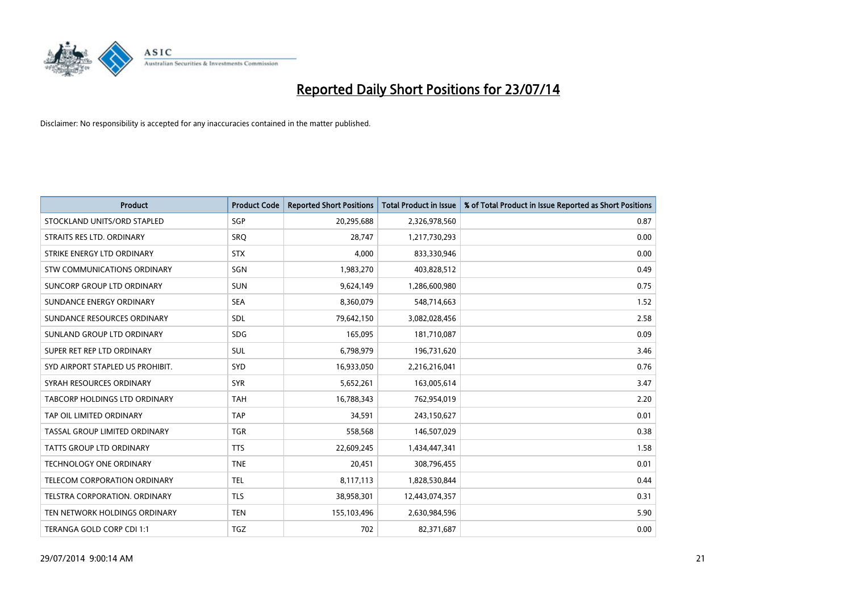

| <b>Product</b>                   | <b>Product Code</b> | <b>Reported Short Positions</b> | <b>Total Product in Issue</b> | % of Total Product in Issue Reported as Short Positions |
|----------------------------------|---------------------|---------------------------------|-------------------------------|---------------------------------------------------------|
| STOCKLAND UNITS/ORD STAPLED      | SGP                 | 20,295,688                      | 2,326,978,560                 | 0.87                                                    |
| STRAITS RES LTD. ORDINARY        | <b>SRQ</b>          | 28,747                          | 1,217,730,293                 | 0.00                                                    |
| STRIKE ENERGY LTD ORDINARY       | <b>STX</b>          | 4.000                           | 833,330,946                   | 0.00                                                    |
| STW COMMUNICATIONS ORDINARY      | SGN                 | 1,983,270                       | 403,828,512                   | 0.49                                                    |
| SUNCORP GROUP LTD ORDINARY       | <b>SUN</b>          | 9,624,149                       | 1,286,600,980                 | 0.75                                                    |
| SUNDANCE ENERGY ORDINARY         | <b>SEA</b>          | 8,360,079                       | 548,714,663                   | 1.52                                                    |
| SUNDANCE RESOURCES ORDINARY      | <b>SDL</b>          | 79,642,150                      | 3,082,028,456                 | 2.58                                                    |
| SUNLAND GROUP LTD ORDINARY       | <b>SDG</b>          | 165,095                         | 181,710,087                   | 0.09                                                    |
| SUPER RET REP LTD ORDINARY       | <b>SUL</b>          | 6,798,979                       | 196,731,620                   | 3.46                                                    |
| SYD AIRPORT STAPLED US PROHIBIT. | <b>SYD</b>          | 16,933,050                      | 2,216,216,041                 | 0.76                                                    |
| SYRAH RESOURCES ORDINARY         | <b>SYR</b>          | 5,652,261                       | 163,005,614                   | 3.47                                                    |
| TABCORP HOLDINGS LTD ORDINARY    | <b>TAH</b>          | 16,788,343                      | 762,954,019                   | 2.20                                                    |
| TAP OIL LIMITED ORDINARY         | <b>TAP</b>          | 34,591                          | 243,150,627                   | 0.01                                                    |
| TASSAL GROUP LIMITED ORDINARY    | <b>TGR</b>          | 558,568                         | 146,507,029                   | 0.38                                                    |
| <b>TATTS GROUP LTD ORDINARY</b>  | <b>TTS</b>          | 22,609,245                      | 1,434,447,341                 | 1.58                                                    |
| <b>TECHNOLOGY ONE ORDINARY</b>   | <b>TNE</b>          | 20,451                          | 308,796,455                   | 0.01                                                    |
| TELECOM CORPORATION ORDINARY     | <b>TEL</b>          | 8,117,113                       | 1,828,530,844                 | 0.44                                                    |
| TELSTRA CORPORATION, ORDINARY    | <b>TLS</b>          | 38,958,301                      | 12,443,074,357                | 0.31                                                    |
| TEN NETWORK HOLDINGS ORDINARY    | <b>TEN</b>          | 155,103,496                     | 2,630,984,596                 | 5.90                                                    |
| TERANGA GOLD CORP CDI 1:1        | TGZ                 | 702                             | 82,371,687                    | 0.00                                                    |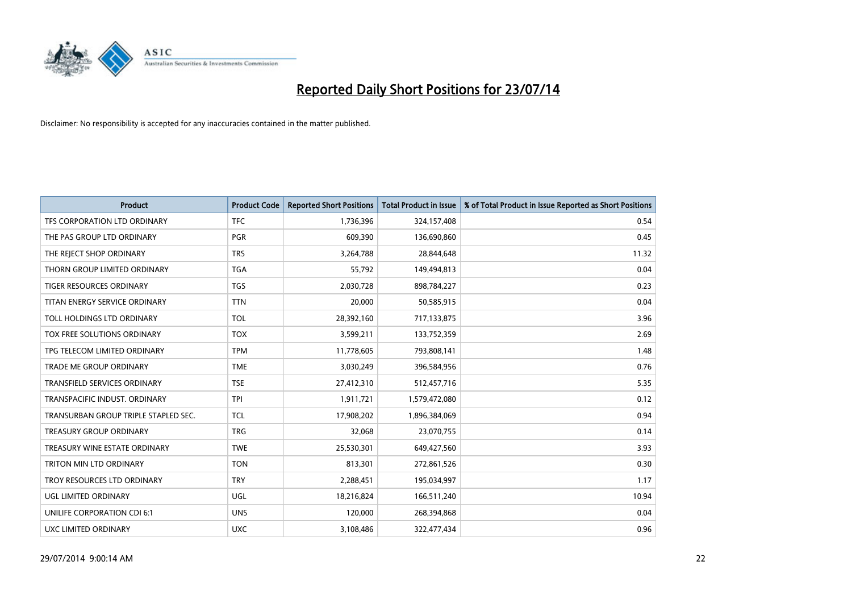

| <b>Product</b>                       | <b>Product Code</b> | <b>Reported Short Positions</b> | <b>Total Product in Issue</b> | % of Total Product in Issue Reported as Short Positions |
|--------------------------------------|---------------------|---------------------------------|-------------------------------|---------------------------------------------------------|
| TFS CORPORATION LTD ORDINARY         | <b>TFC</b>          | 1,736,396                       | 324,157,408                   | 0.54                                                    |
| THE PAS GROUP LTD ORDINARY           | <b>PGR</b>          | 609,390                         | 136,690,860                   | 0.45                                                    |
| THE REJECT SHOP ORDINARY             | <b>TRS</b>          | 3,264,788                       | 28,844,648                    | 11.32                                                   |
| THORN GROUP LIMITED ORDINARY         | <b>TGA</b>          | 55,792                          | 149,494,813                   | 0.04                                                    |
| <b>TIGER RESOURCES ORDINARY</b>      | TGS                 | 2,030,728                       | 898,784,227                   | 0.23                                                    |
| TITAN ENERGY SERVICE ORDINARY        | <b>TTN</b>          | 20,000                          | 50,585,915                    | 0.04                                                    |
| TOLL HOLDINGS LTD ORDINARY           | <b>TOL</b>          | 28,392,160                      | 717,133,875                   | 3.96                                                    |
| TOX FREE SOLUTIONS ORDINARY          | <b>TOX</b>          | 3,599,211                       | 133,752,359                   | 2.69                                                    |
| TPG TELECOM LIMITED ORDINARY         | <b>TPM</b>          | 11,778,605                      | 793,808,141                   | 1.48                                                    |
| <b>TRADE ME GROUP ORDINARY</b>       | <b>TME</b>          | 3,030,249                       | 396,584,956                   | 0.76                                                    |
| TRANSFIELD SERVICES ORDINARY         | <b>TSE</b>          | 27,412,310                      | 512,457,716                   | 5.35                                                    |
| TRANSPACIFIC INDUST, ORDINARY        | <b>TPI</b>          | 1,911,721                       | 1,579,472,080                 | 0.12                                                    |
| TRANSURBAN GROUP TRIPLE STAPLED SEC. | TCL                 | 17,908,202                      | 1,896,384,069                 | 0.94                                                    |
| <b>TREASURY GROUP ORDINARY</b>       | <b>TRG</b>          | 32,068                          | 23,070,755                    | 0.14                                                    |
| TREASURY WINE ESTATE ORDINARY        | <b>TWE</b>          | 25,530,301                      | 649,427,560                   | 3.93                                                    |
| TRITON MIN LTD ORDINARY              | <b>TON</b>          | 813,301                         | 272,861,526                   | 0.30                                                    |
| TROY RESOURCES LTD ORDINARY          | <b>TRY</b>          | 2,288,451                       | 195,034,997                   | 1.17                                                    |
| UGL LIMITED ORDINARY                 | <b>UGL</b>          | 18,216,824                      | 166,511,240                   | 10.94                                                   |
| UNILIFE CORPORATION CDI 6:1          | <b>UNS</b>          | 120,000                         | 268,394,868                   | 0.04                                                    |
| UXC LIMITED ORDINARY                 | <b>UXC</b>          | 3,108,486                       | 322,477,434                   | 0.96                                                    |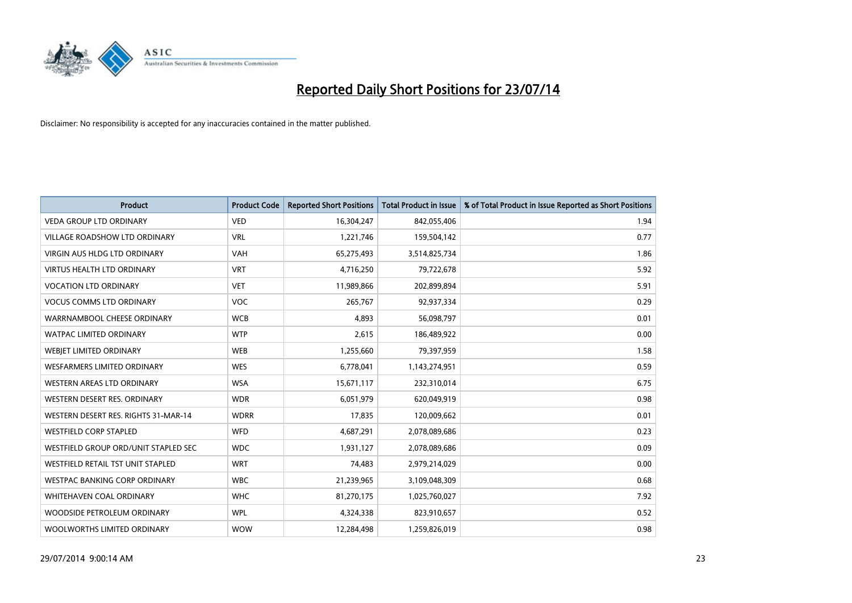

| <b>Product</b>                       | <b>Product Code</b> | <b>Reported Short Positions</b> | <b>Total Product in Issue</b> | % of Total Product in Issue Reported as Short Positions |
|--------------------------------------|---------------------|---------------------------------|-------------------------------|---------------------------------------------------------|
| <b>VEDA GROUP LTD ORDINARY</b>       | <b>VED</b>          | 16,304,247                      | 842,055,406                   | 1.94                                                    |
| VILLAGE ROADSHOW LTD ORDINARY        | <b>VRL</b>          | 1,221,746                       | 159,504,142                   | 0.77                                                    |
| <b>VIRGIN AUS HLDG LTD ORDINARY</b>  | <b>VAH</b>          | 65,275,493                      | 3,514,825,734                 | 1.86                                                    |
| VIRTUS HEALTH LTD ORDINARY           | <b>VRT</b>          | 4,716,250                       | 79,722,678                    | 5.92                                                    |
| <b>VOCATION LTD ORDINARY</b>         | <b>VET</b>          | 11,989,866                      | 202,899,894                   | 5.91                                                    |
| <b>VOCUS COMMS LTD ORDINARY</b>      | <b>VOC</b>          | 265,767                         | 92,937,334                    | 0.29                                                    |
| WARRNAMBOOL CHEESE ORDINARY          | <b>WCB</b>          | 4,893                           | 56,098,797                    | 0.01                                                    |
| WATPAC LIMITED ORDINARY              | <b>WTP</b>          | 2,615                           | 186,489,922                   | 0.00                                                    |
| WEBJET LIMITED ORDINARY              | <b>WEB</b>          | 1,255,660                       | 79,397,959                    | 1.58                                                    |
| WESFARMERS LIMITED ORDINARY          | <b>WES</b>          | 6,778,041                       | 1,143,274,951                 | 0.59                                                    |
| WESTERN AREAS LTD ORDINARY           | <b>WSA</b>          | 15,671,117                      | 232,310,014                   | 6.75                                                    |
| WESTERN DESERT RES. ORDINARY         | <b>WDR</b>          | 6,051,979                       | 620,049,919                   | 0.98                                                    |
| WESTERN DESERT RES. RIGHTS 31-MAR-14 | <b>WDRR</b>         | 17,835                          | 120,009,662                   | 0.01                                                    |
| <b>WESTFIELD CORP STAPLED</b>        | <b>WFD</b>          | 4,687,291                       | 2,078,089,686                 | 0.23                                                    |
| WESTFIELD GROUP ORD/UNIT STAPLED SEC | <b>WDC</b>          | 1,931,127                       | 2,078,089,686                 | 0.09                                                    |
| WESTFIELD RETAIL TST UNIT STAPLED    | <b>WRT</b>          | 74,483                          | 2,979,214,029                 | 0.00                                                    |
| WESTPAC BANKING CORP ORDINARY        | <b>WBC</b>          | 21,239,965                      | 3,109,048,309                 | 0.68                                                    |
| WHITEHAVEN COAL ORDINARY             | <b>WHC</b>          | 81,270,175                      | 1,025,760,027                 | 7.92                                                    |
| WOODSIDE PETROLEUM ORDINARY          | <b>WPL</b>          | 4,324,338                       | 823,910,657                   | 0.52                                                    |
| WOOLWORTHS LIMITED ORDINARY          | <b>WOW</b>          | 12,284,498                      | 1,259,826,019                 | 0.98                                                    |